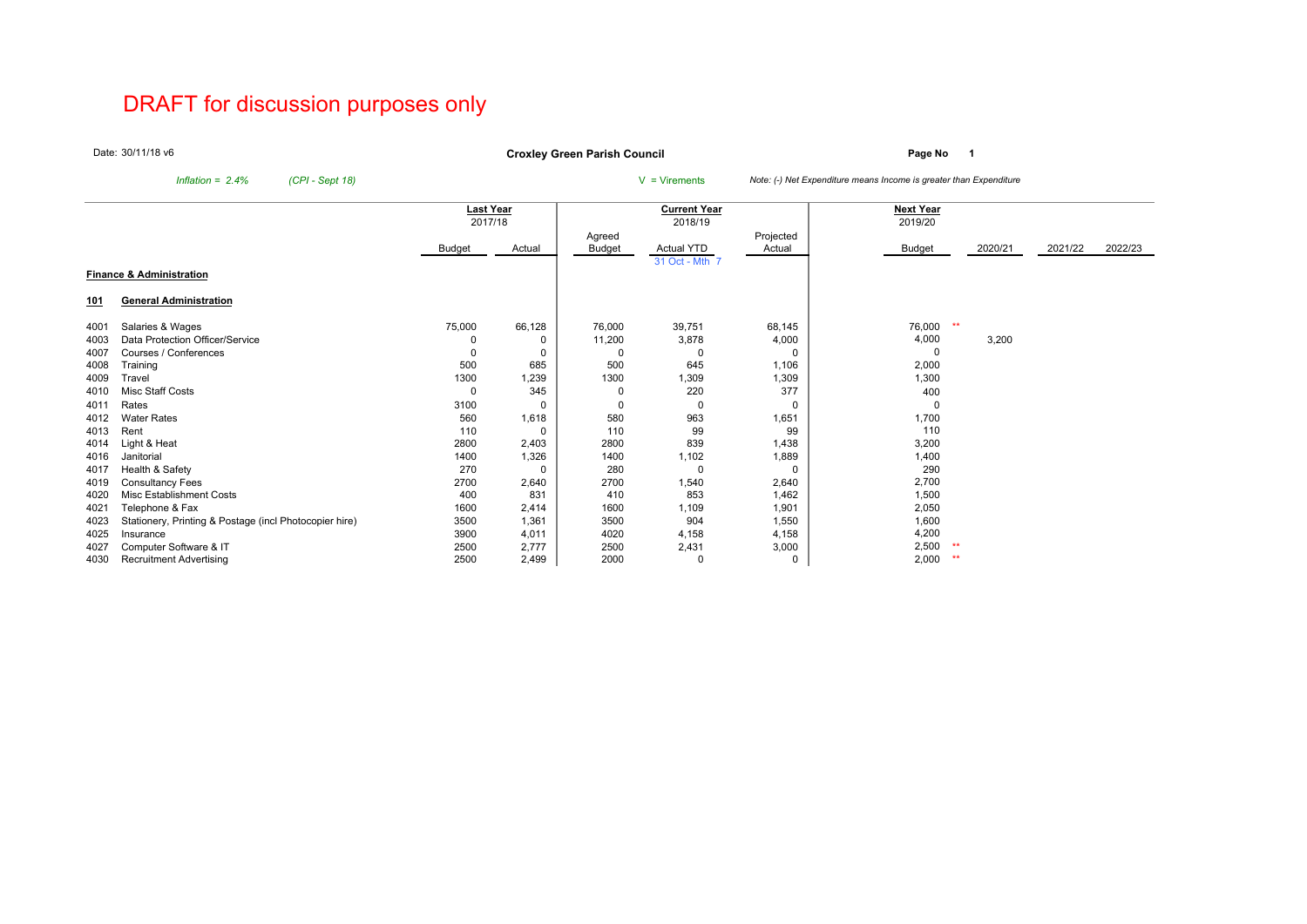# DRAFT for discussion purposes only

Date:30/11/18 v6

**Page No <sup>1</sup> Croxley Green Parish Council**

*Inflation = 2.4% (CPI - Sept 18)* <sup>V</sup> = Virements *Note: (-) Net Expenditure means Income is greater than Expenditure*

|      |                                                        | <b>Last Year</b> |          |          | <b>Current Year</b> |           | <b>Next Year</b> |         |         |         |
|------|--------------------------------------------------------|------------------|----------|----------|---------------------|-----------|------------------|---------|---------|---------|
|      |                                                        | 2017/18          |          |          | 2018/19             |           | 2019/20          |         |         |         |
|      |                                                        |                  |          | Agreed   |                     | Projected |                  |         |         |         |
|      |                                                        | Budget           | Actual   | Budget   | <b>Actual YTD</b>   | Actual    | Budget           | 2020/21 | 2021/22 | 2022/23 |
|      |                                                        |                  |          |          | 31 Oct - Mth 7      |           |                  |         |         |         |
|      | <b>Finance &amp; Administration</b>                    |                  |          |          |                     |           |                  |         |         |         |
| 101  | <b>General Administration</b>                          |                  |          |          |                     |           |                  |         |         |         |
| 4001 | Salaries & Wages                                       | 75,000           | 66,128   | 76,000   | 39,751              | 68,145    | 76,000           | $**$    |         |         |
| 4003 | Data Protection Officer/Service                        | 0                | o        | 11,200   | 3,878               | 4,000     | 4,000            | 3,200   |         |         |
| 4007 | Courses / Conferences                                  | 0                |          | $\Omega$ | 0                   | 0         | $\Omega$         |         |         |         |
| 4008 | Training                                               | 500              | 685      | 500      | 645                 | 1,106     | 2,000            |         |         |         |
| 4009 | Travel                                                 | 1300             | 1,239    | 1300     | 1,309               | 1,309     | 1,300            |         |         |         |
| 4010 | <b>Misc Staff Costs</b>                                | 0                | 345      | 0        | 220                 | 377       | 400              |         |         |         |
| 4011 | Rates                                                  | 3100             | $\Omega$ | 0        | 0                   | 0         | $\mathbf 0$      |         |         |         |
| 4012 | <b>Water Rates</b>                                     | 560              | 1,618    | 580      | 963                 | 1,651     | 1,700            |         |         |         |
| 4013 | Rent                                                   | 110              |          | 110      | 99                  | 99        | 110              |         |         |         |
| 4014 | Light & Heat                                           | 2800             | 2,403    | 2800     | 839                 | 1,438     | 3,200            |         |         |         |
| 4016 | Janitorial                                             | 1400             | 1,326    | 1400     | 1,102               | 1,889     | 1,400            |         |         |         |
| 4017 | Health & Safety                                        | 270              | $\Omega$ | 280      | $\Omega$            | 0         | 290              |         |         |         |
| 4019 | <b>Consultancy Fees</b>                                | 2700             | 2,640    | 2700     | 1,540               | 2,640     | 2,700            |         |         |         |
| 4020 | <b>Misc Establishment Costs</b>                        | 400              | 831      | 410      | 853                 | 1,462     | 1,500            |         |         |         |
| 4021 | Telephone & Fax                                        | 1600             | 2,414    | 1600     | 1,109               | 1,901     | 2,050            |         |         |         |
| 4023 | Stationery, Printing & Postage (incl Photocopier hire) | 3500             | 1,361    | 3500     | 904                 | 1,550     | 1,600            |         |         |         |
| 4025 | Insurance                                              | 3900             | 4,011    | 4020     | 4,158               | 4,158     | 4,200            |         |         |         |
| 4027 | Computer Software & IT                                 | 2500             | 2,777    | 2500     | 2,431               | 3,000     | 2,500            |         |         |         |
| 4030 | <b>Recruitment Advertising</b>                         | 2500             | 2,499    | 2000     | 0                   | 0         | 2,000            | $***$   |         |         |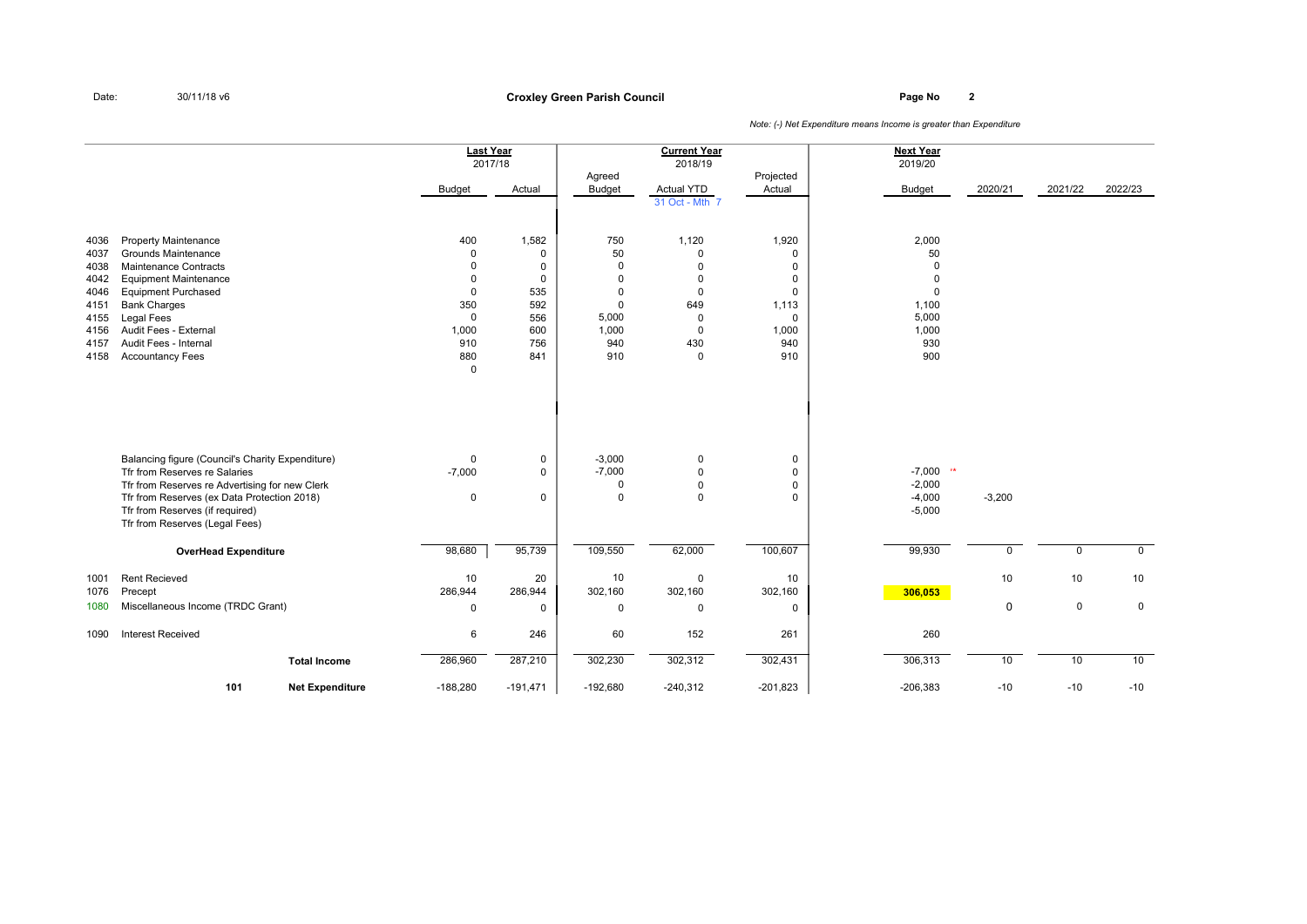**Page No <sup>2</sup> Croxley Green Parish Council**

|              |                                                    | <b>Last Year</b><br>2017/18 |                      |                         | <b>Current Year</b><br>2018/19 |                      | <b>Next Year</b><br>2019/20 |             |             |              |
|--------------|----------------------------------------------------|-----------------------------|----------------------|-------------------------|--------------------------------|----------------------|-----------------------------|-------------|-------------|--------------|
|              |                                                    | <b>Budget</b>               | Actual               | Agreed<br><b>Budget</b> | Actual YTD                     | Projected<br>Actual  | <b>Budget</b>               | 2020/21     | 2021/22     | 2022/23      |
|              |                                                    |                             |                      |                         | 31 Oct - Mth 7                 |                      |                             |             |             |              |
| 4036         | <b>Property Maintenance</b><br>Grounds Maintenance | 400<br>$\mathbf 0$          | 1,582<br>$\mathbf 0$ | 750<br>50               | 1,120<br>$\mathbf 0$           | 1,920<br>$\mathbf 0$ | 2,000                       |             |             |              |
| 4037<br>4038 | Maintenance Contracts                              | $\Omega$                    | $\mathbf 0$          | 0                       | $\pmb{0}$                      | 0                    | 50<br>$\mathbf 0$           |             |             |              |
| 4042         | <b>Equipment Maintenance</b>                       | $\Omega$                    | $\mathbf 0$          | $\mathbf 0$             | $\pmb{0}$                      | 0                    | 0                           |             |             |              |
| 4046         | <b>Equipment Purchased</b>                         | $\mathbf 0$                 | 535                  | $\mathbf 0$             | $\mathbf 0$                    | $\mathbf 0$          | 0                           |             |             |              |
| 4151         | <b>Bank Charges</b>                                | 350                         | 592                  | $\mathbf 0$             | 649                            | 1,113                | 1,100                       |             |             |              |
| 4155         | Legal Fees                                         | $\mathsf 0$                 | 556                  | 5,000                   | $\mathbf 0$                    | $\mathbf 0$          | 5,000                       |             |             |              |
| 4156         | Audit Fees - External                              | 1,000                       | 600                  | 1,000                   | $\mathbf 0$                    | 1,000                | 1,000                       |             |             |              |
| 4157         | Audit Fees - Internal                              | 910                         | 756                  | 940                     | 430                            | 940                  | 930                         |             |             |              |
| 4158         | <b>Accountancy Fees</b>                            | 880                         | 841                  | 910                     | $\mathsf 0$                    | 910                  | 900                         |             |             |              |
|              |                                                    | $\mathbf 0$                 |                      |                         |                                |                      |                             |             |             |              |
|              |                                                    |                             |                      |                         |                                |                      |                             |             |             |              |
|              | Balancing figure (Council's Charity Expenditure)   | $\mathbf 0$                 | $\mathbf 0$          | $-3,000$                | $\mathbf 0$                    | 0                    |                             |             |             |              |
|              | Tfr from Reserves re Salaries                      | $-7,000$                    | $\mathsf 0$          | $-7,000$                | $\Omega$                       | $\mathsf 0$          | $-7,000$ **                 |             |             |              |
|              | Tfr from Reserves re Advertising for new Clerk     |                             |                      | 0                       | $\mathbf 0$                    | $\mathbf 0$          | $-2,000$                    |             |             |              |
|              | Tfr from Reserves (ex Data Protection 2018)        | 0                           | 0                    | $\mathbf 0$             | $\mathbf 0$                    | $\mathbf 0$          | $-4,000$                    | $-3,200$    |             |              |
|              | Tfr from Reserves (if required)                    |                             |                      |                         |                                |                      | $-5,000$                    |             |             |              |
|              | Tfr from Reserves (Legal Fees)                     |                             |                      |                         |                                |                      |                             |             |             |              |
|              | <b>OverHead Expenditure</b>                        | 98,680                      | 95,739               | 109,550                 | 62,000                         | 100,607              | 99,930                      | $\mathbf 0$ | $\mathbf 0$ | $\mathbf{0}$ |
| 1001         | <b>Rent Recieved</b>                               | 10                          | 20                   | 10                      | $\mathsf 0$                    | 10                   |                             | 10          | 10          | 10           |
| 1076         | Precept                                            | 286,944                     | 286,944              | 302,160                 | 302,160                        | 302,160              | 306,053                     |             |             |              |
| 1080         | Miscellaneous Income (TRDC Grant)                  | 0                           | $\mathbf 0$          | 0                       | $\mathbf 0$                    | $\mathbf 0$          |                             | $\mathbf 0$ | $\mathbf 0$ | $\mathsf 0$  |
| 1090         | <b>Interest Received</b>                           | 6                           | 246                  | 60                      | 152                            | 261                  | 260                         |             |             |              |
|              | <b>Total Income</b>                                | 286,960                     | 287,210              | 302,230                 | 302,312                        | 302,431              | 306,313                     | 10          | 10          | 10           |
|              | 101<br><b>Net Expenditure</b>                      | $-188,280$                  | $-191,471$           | $-192,680$              | $-240,312$                     | $-201,823$           | $-206,383$                  | $-10$       | $-10$       | $-10$        |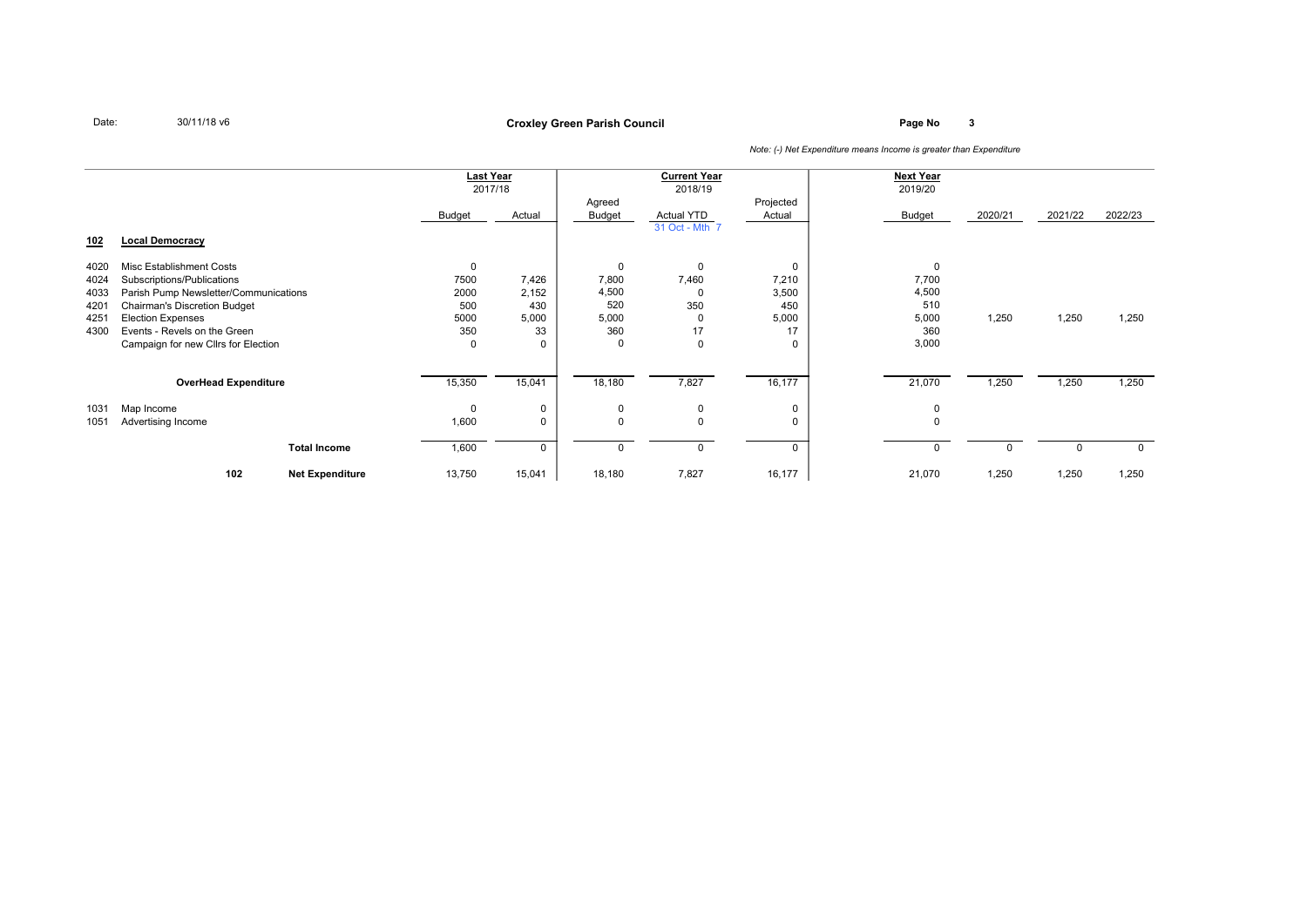**Page No <sup>3</sup> Croxley Green Parish Council**

|      |                                       |                        | <b>Last Year</b> |             |              | <b>Current Year</b> |             | <b>Next Year</b> |          |         |             |
|------|---------------------------------------|------------------------|------------------|-------------|--------------|---------------------|-------------|------------------|----------|---------|-------------|
|      |                                       |                        |                  | 2017/18     |              | 2018/19             |             | 2019/20          |          |         |             |
|      |                                       |                        |                  |             | Agreed       |                     | Projected   |                  |          |         |             |
|      |                                       |                        | Budget           | Actual      | Budget       | Actual YTD          | Actual      | Budget           | 2020/21  | 2021/22 | 2022/23     |
|      |                                       |                        |                  |             |              | 31 Oct - Mth 7      |             |                  |          |         |             |
| 102  | <b>Local Democracy</b>                |                        |                  |             |              |                     |             |                  |          |         |             |
|      |                                       |                        |                  |             |              |                     |             |                  |          |         |             |
| 4020 | Misc Establishment Costs              |                        | $\Omega$         |             | $\mathbf{0}$ | $\Omega$            | $\Omega$    | $\mathbf 0$      |          |         |             |
| 4024 | Subscriptions/Publications            |                        | 7500             | 7,426       | 7,800        | 7,460               | 7,210       | 7,700            |          |         |             |
| 4033 | Parish Pump Newsletter/Communications |                        | 2000             | 2,152       | 4,500        | $\Omega$            | 3,500       | 4,500            |          |         |             |
| 4201 | <b>Chairman's Discretion Budget</b>   |                        | 500              | 430         | 520          | 350                 | 450         | 510              |          |         |             |
| 4251 | <b>Election Expenses</b>              |                        | 5000             | 5,000       | 5,000        | $\Omega$            | 5,000       | 5,000            | 1,250    | 1,250   | 1,250       |
| 4300 | Events - Revels on the Green          |                        | 350              | 33          | 360          | 17                  | 17          | 360              |          |         |             |
|      | Campaign for new Cllrs for Election   |                        | $\Omega$         | 0           | $\Omega$     | $\Omega$            | 0           | 3,000            |          |         |             |
|      |                                       |                        |                  |             |              |                     |             |                  |          |         |             |
|      |                                       |                        |                  |             |              |                     |             |                  |          |         |             |
|      | <b>OverHead Expenditure</b>           |                        | 15,350           | 15,041      | 18,180       | 7,827               | 16,177      | 21,070           | 1,250    | 1,250   | 1,250       |
| 1031 | Map Income                            |                        | $\Omega$         | 0           | $\mathbf 0$  | $\mathbf{0}$        | $\mathbf 0$ | 0                |          |         |             |
| 1051 | Advertising Income                    |                        | 1,600            | $\mathbf 0$ | $\Omega$     | $\Omega$            | 0           | $\Omega$         |          |         |             |
|      |                                       |                        |                  |             |              |                     |             |                  |          |         |             |
|      |                                       | <b>Total Income</b>    | 1,600            | $\mathbf 0$ | $\Omega$     | $\Omega$            | $\Omega$    | $\mathbf 0$      | $\Omega$ | O       | $\mathbf 0$ |
|      |                                       |                        |                  |             |              |                     |             |                  |          |         |             |
|      | 102                                   | <b>Net Expenditure</b> | 13,750           | 15,041      | 18,180       | 7,827               | 16,177      | 21,070           | 1,250    | 1,250   | 1,250       |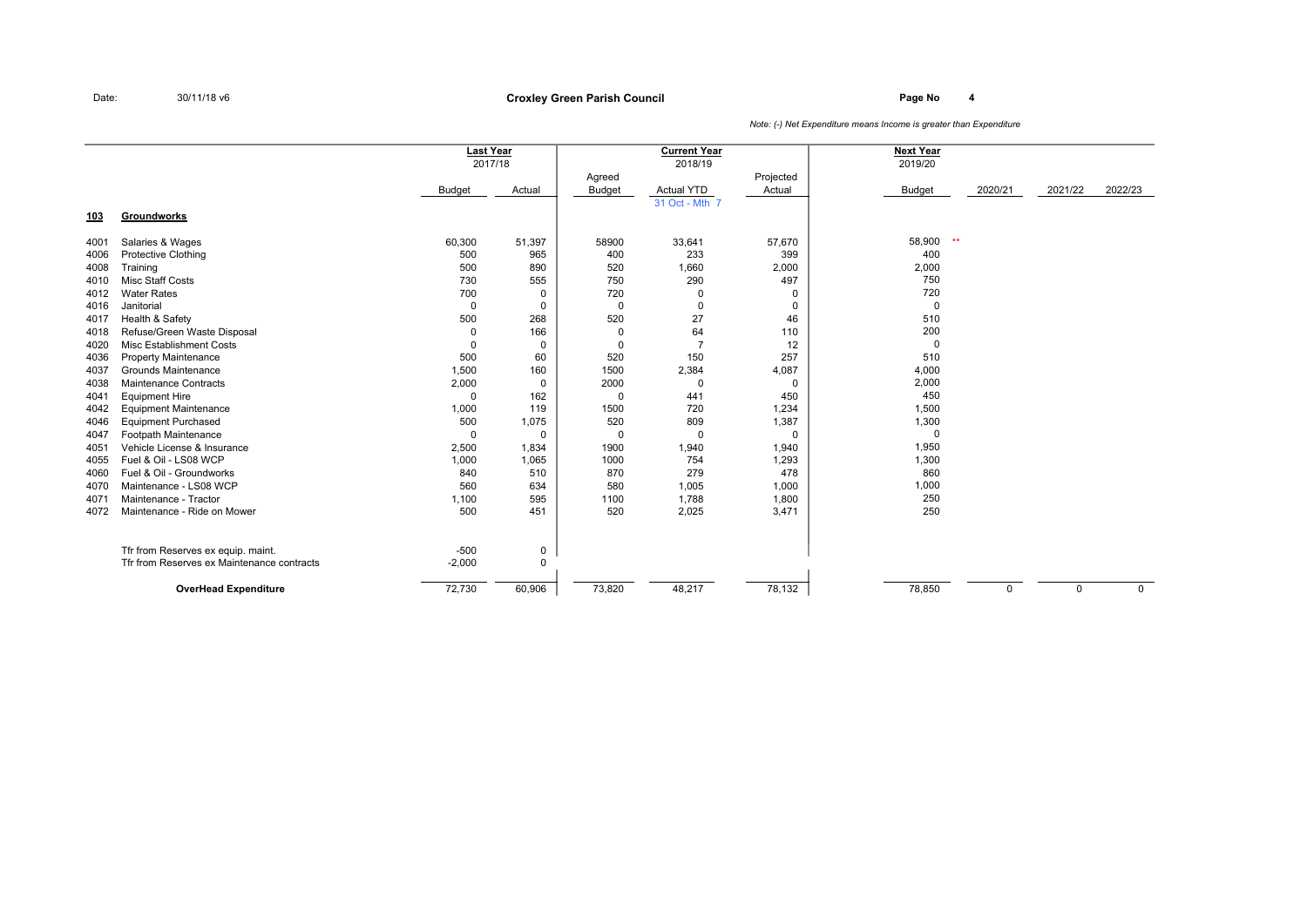**Page No <sup>4</sup> Croxley Green Parish Council**

|            |                                            | <b>Last Year</b> | 2017/18  |                         | <b>Current Year</b><br>2018/19 |                     | <b>Next Year</b><br>2019/20 |         |          |             |
|------------|--------------------------------------------|------------------|----------|-------------------------|--------------------------------|---------------------|-----------------------------|---------|----------|-------------|
|            |                                            | Budget           | Actual   | Agreed<br><b>Budget</b> | <b>Actual YTD</b>              | Projected<br>Actual | Budget                      | 2020/21 | 2021/22  | 2022/23     |
| <u>103</u> | Groundworks                                |                  |          |                         | 31 Oct - Mth 7                 |                     |                             |         |          |             |
| 4001       | Salaries & Wages                           | 60,300           | 51,397   | 58900                   | 33,641                         | 57,670              | 58,900                      | $**$    |          |             |
| 4006       | <b>Protective Clothing</b>                 | 500              | 965      | 400                     | 233                            | 399                 | 400                         |         |          |             |
| 4008       | Training                                   | 500              | 890      | 520                     | 1,660                          | 2,000               | 2,000                       |         |          |             |
| 4010       | <b>Misc Staff Costs</b>                    | 730              | 555      | 750                     | 290                            | 497                 | 750                         |         |          |             |
| 4012       | <b>Water Rates</b>                         | 700              | $\Omega$ | 720                     | 0                              | 0                   | 720                         |         |          |             |
| 4016       | Janitorial                                 | $\mathbf 0$      | 0        | $\mathbf 0$             | $\mathbf 0$                    | 0                   | $\mathbf 0$                 |         |          |             |
| 4017       | Health & Safety                            | 500              | 268      | 520                     | 27                             | 46                  | 510                         |         |          |             |
| 4018       | Refuse/Green Waste Disposal                | 0                | 166      |                         | 64                             | 110                 | 200                         |         |          |             |
| 4020       | Misc Establishment Costs                   | $\Omega$         | 0        |                         |                                | 12                  | $\mathbf 0$                 |         |          |             |
| 4036       | <b>Property Maintenance</b>                | 500              | 60       | 520                     | 150                            | 257                 | 510                         |         |          |             |
| 4037       | <b>Grounds Maintenance</b>                 | 1,500            | 160      | 1500                    | 2,384                          | 4,087               | 4,000                       |         |          |             |
| 4038       | Maintenance Contracts                      | 2,000            | 0        | 2000                    | $\mathbf 0$                    | 0                   | 2,000                       |         |          |             |
| 4041       | <b>Equipment Hire</b>                      | $\Omega$         | 162      | $\Omega$                | 441                            | 450                 | 450                         |         |          |             |
| 4042       | <b>Equipment Maintenance</b>               | 1,000            | 119      | 1500                    | 720                            | 1,234               | 1,500                       |         |          |             |
| 4046       | <b>Equipment Purchased</b>                 | 500              | 1,075    | 520                     | 809                            | 1,387               | 1,300                       |         |          |             |
| 4047       | Footpath Maintenance                       | $\Omega$         | $\Omega$ | $\Omega$                | 0                              | 0                   | $\mathbf 0$                 |         |          |             |
| 4051       | Vehicle License & Insurance                | 2,500            | 1,834    | 1900                    | 1,940                          | 1,940               | 1,950                       |         |          |             |
| 4055       | Fuel & Oil - LS08 WCP                      | 1,000            | 1,065    | 1000                    | 754                            | 1,293               | 1,300                       |         |          |             |
| 4060       | Fuel & Oil - Groundworks                   | 840              | 510      | 870                     | 279                            | 478                 | 860                         |         |          |             |
| 4070       | Maintenance - LS08 WCP                     | 560              | 634      | 580                     | 1,005                          | 1,000               | 1,000                       |         |          |             |
| 4071       | Maintenance - Tractor                      | 1,100            | 595      | 1100                    | 1,788                          | 1,800               | 250                         |         |          |             |
| 4072       | Maintenance - Ride on Mower                | 500              | 451      | 520                     | 2,025                          | 3,471               | 250                         |         |          |             |
|            | Tfr from Reserves ex equip. maint.         | $-500$           | 0        |                         |                                |                     |                             |         |          |             |
|            | Tfr from Reserves ex Maintenance contracts | $-2,000$         | $\Omega$ |                         |                                |                     |                             |         |          |             |
|            | <b>OverHead Expenditure</b>                | 72,730           | 60,906   | 73,820                  | 48,217                         | 78,132              | 78,850                      | 0       | $\Omega$ | $\mathbf 0$ |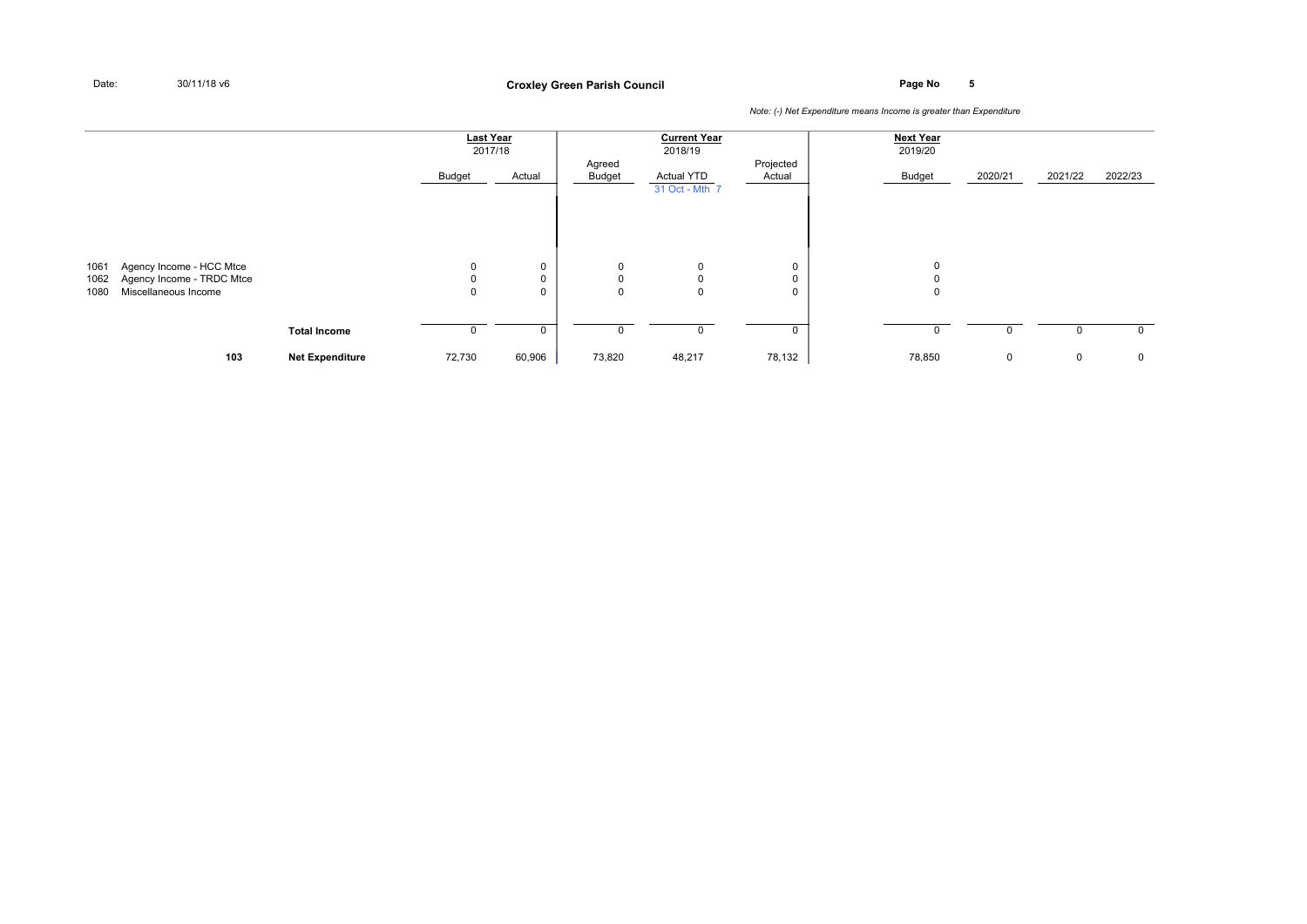**Page No <sup>5</sup> Croxley Green Parish Council**

|              |                                                   |                        | <b>Last Year</b><br>2017/18 |        |                  | <b>Current Year</b><br>2018/19 |                     | <b>Next Year</b><br>2019/20 |             |         |              |
|--------------|---------------------------------------------------|------------------------|-----------------------------|--------|------------------|--------------------------------|---------------------|-----------------------------|-------------|---------|--------------|
|              |                                                   |                        | Budget                      | Actual | Agreed<br>Budget | Actual YTD<br>31 Oct - Mth 7   | Projected<br>Actual | Budget                      | 2020/21     | 2021/22 | 2022/23      |
|              |                                                   |                        |                             |        |                  |                                |                     |                             |             |         |              |
| 1061         | Agency Income - HCC Mtce                          |                        | $\mathbf 0$                 | 0      | 0                | $\mathbf 0$                    | 0                   | 0                           |             |         |              |
| 1062<br>1080 | Agency Income - TRDC Mtce<br>Miscellaneous Income |                        | $\Omega$<br>$\Omega$        | 0<br>0 | 0<br>$\Omega$    | $\mathbf 0$<br>$\mathbf{0}$    | 0<br>0              | $\mathbf 0$                 |             |         |              |
|              |                                                   |                        |                             |        |                  |                                |                     |                             |             |         |              |
|              |                                                   | <b>Total Income</b>    |                             | 0      |                  | $\mathbf 0$                    | 0                   | $\Omega$                    | 0           | 0       | $\mathbf{0}$ |
|              | 103                                               | <b>Net Expenditure</b> | 72,730                      | 60,906 | 73,820           | 48,217                         | 78,132              | 78,850                      | $\mathbf 0$ | 0       | 0            |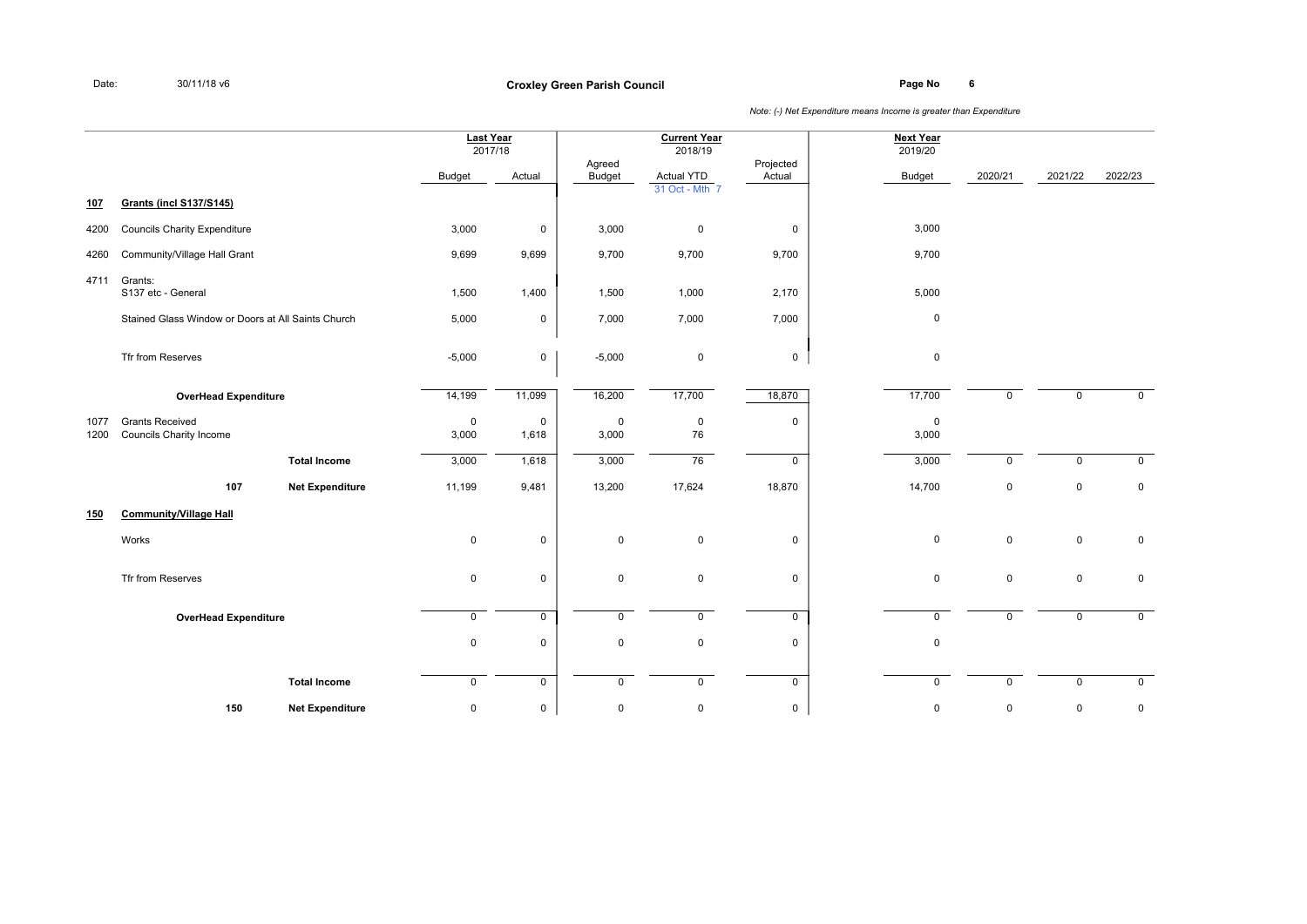**Page No <sup>6</sup> Croxley Green Parish Council**

|              |                                                          |                        | <b>Last Year</b><br>2017/18 |                |                    | <b>Current Year</b><br>2018/19 |                     | <b>Next Year</b><br>2019/20 |              |             |                |
|--------------|----------------------------------------------------------|------------------------|-----------------------------|----------------|--------------------|--------------------------------|---------------------|-----------------------------|--------------|-------------|----------------|
|              |                                                          |                        | <b>Budget</b>               | Actual         | Agreed<br>Budget   | <b>Actual YTD</b>              | Projected<br>Actual | Budget                      | 2020/21      | 2021/22     | 2022/23        |
| 107          | <b>Grants (incl S137/S145)</b>                           |                        |                             |                |                    | 31 Oct - Mth 7                 |                     |                             |              |             |                |
| 4200         | <b>Councils Charity Expenditure</b>                      |                        | 3,000                       | 0              | 3,000              | $\pmb{0}$                      | $\mathsf 0$         | 3,000                       |              |             |                |
| 4260         | Community/Village Hall Grant                             |                        | 9,699                       | 9,699          | 9,700              | 9,700                          | 9,700               | 9,700                       |              |             |                |
| 4711         | Grants:<br>S137 etc - General                            |                        | 1,500                       | 1,400          | 1,500              | 1,000                          | 2,170               | 5,000                       |              |             |                |
|              | Stained Glass Window or Doors at All Saints Church       |                        | 5,000                       | 0              | 7,000              | 7,000                          | 7,000               | $\mathbf 0$                 |              |             |                |
|              | Tfr from Reserves                                        |                        | $-5,000$                    | 0              | $-5,000$           | 0                              | $\mathbf 0$         | $\pmb{0}$                   |              |             |                |
|              | <b>OverHead Expenditure</b>                              |                        | 14,199                      | 11,099         | 16,200             | 17,700                         | 18,870              | 17,700                      | $\mathbf 0$  | $\mathbf 0$ | $\mathsf{O}$   |
| 1077<br>1200 | <b>Grants Received</b><br><b>Councils Charity Income</b> |                        | $\mathbf 0$<br>3,000        | 0<br>1,618     | $\pmb{0}$<br>3,000 | 0<br>76                        | 0                   | $\mathbf 0$<br>3,000        |              |             |                |
|              |                                                          | <b>Total Income</b>    | 3,000                       | 1,618          | 3,000              | 76                             | $\mathbf 0$         | 3,000                       | $\mathsf{O}$ | $\mathbf 0$ | $\mathsf{O}$   |
|              | 107                                                      | <b>Net Expenditure</b> | 11,199                      | 9,481          | 13,200             | 17,624                         | 18,870              | 14,700                      | $\mathbf 0$  | $\mathsf 0$ | $\mathsf 0$    |
| 150          | <b>Community/Village Hall</b>                            |                        |                             |                |                    |                                |                     |                             |              |             |                |
|              | Works                                                    |                        | $\mathbf 0$                 | 0              | $\pmb{0}$          | 0                              | 0                   | $\pmb{0}$                   | $\mathsf{O}$ | $\mathbf 0$ | $\mathbf 0$    |
|              | Tfr from Reserves                                        |                        | $\mathbf 0$                 | 0              | $\mathsf 0$        | 0                              | $\mathbf 0$         | $\mathbf 0$                 | $\mathsf{O}$ | $\mathbf 0$ | $\mathsf 0$    |
|              | <b>OverHead Expenditure</b>                              |                        | $\mathbf 0$                 | $\overline{0}$ | $\overline{0}$     | $\mathbf 0$                    | $\overline{0}$      | $\overline{0}$              | $\mathsf{O}$ | $\mathbf 0$ | $\overline{0}$ |
|              |                                                          |                        | $\mathbf 0$                 | 0              | $\mathbf 0$        | 0                              | 0                   | $\mathbf 0$                 |              |             |                |
|              |                                                          | <b>Total Income</b>    | $\mathsf 0$                 | $\mathsf 0$    | $\mathsf 0$        | $\mathbf 0$                    | $\mathbf 0$         | $\mathbf 0$                 | $\mathbf 0$  | $\mathbf 0$ | $\mathbf 0$    |
|              | 150                                                      | <b>Net Expenditure</b> | $\pmb{0}$                   | 0              | $\pmb{0}$          | 0                              | $\mathsf{O}\xspace$ | $\pmb{0}$                   | 0            | $\pmb{0}$   | $\mathbf 0$    |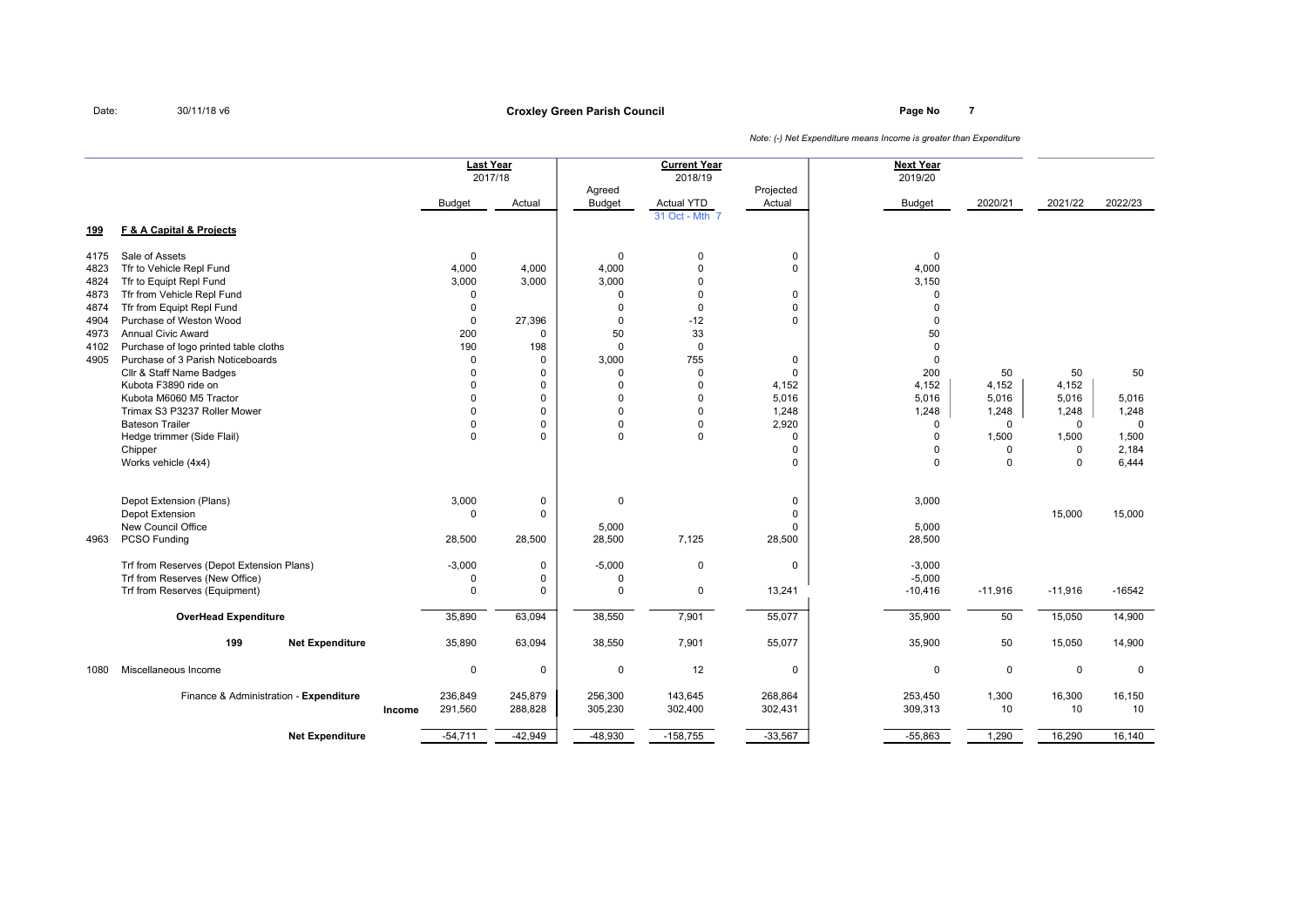**Net Expenditure**

**199**

**Page No <sup>7</sup> Croxley Green Parish Council**

**Next Year**2019/20 2017/18 2018/19 2019/20 Agreed **Projected** Budget Actual Budget Actual YTD Actual Budget Budget 2020/21 2021/22 2022/23 31 Oct - Mth <sup>7</sup> **F & A Capital & Projects** 4175 Sale of Assets 1990 and the contract of Assets 1990 and the contract of Assets 1990 and the contract of the contract of the contract of the contract of the contract of the contract of the contract of the contract of t 4823 Tfr to Vehicle Repl Fund 4.000 4,000 4,000 4,000 4,000 0 0 0 4,000 0 0 4,000 0 4,000 0 0 4,000 4824 Tfr to Equipt Repl Fund 3,000 3,000 3,000 3,000 3,000 3,000 0 3,000 0 3,000 0 3,000 0 3,150 <sup>4873</sup> Tfr from Vehicle Repl Fund <sup>0</sup> <sup>0</sup> <sup>0</sup> <sup>0</sup> <sup>0</sup> <sup>4874</sup> Tfr from Equipt Repl Fund <sup>0</sup> <sup>0</sup> <sup>0</sup> <sup>0</sup> <sup>0</sup> <sup>4904</sup> Purchase of Weston Wood <sup>0</sup> 27,396 <sup>0</sup> -12 <sup>0</sup> <sup>0</sup> <sup>4973</sup> Annual Civic Award <sup>200</sup> <sup>0</sup> <sup>50</sup> <sup>33</sup> <sup>50</sup> 4102 Purchase of logo printed table cloths the cloths the cloths of the cloths the cloths of the cloths of the cloths of the cloths of the cloths of the cloths of the cloths of the cloths of the cloths of the cloths of the <sup>4905</sup> Purchase of 3 Parish Noticeboards <sup>0</sup> <sup>0</sup> 3,000 <sup>755</sup> <sup>0</sup> <sup>0</sup> Cllr & Staff Name Badges <sup>0</sup> <sup>0</sup> <sup>0</sup> <sup>0</sup> <sup>0</sup> <sup>200</sup> <sup>50</sup> <sup>50</sup> <sup>50</sup> Kubota F3890 ride onn 0 0 0 0 4,152 4,152 4,152 4,152 4,152 4,152 4,152 4,152 4,152 4,152 4,152 4,152 4,152 4,152 4,152 4,152 4,152 4,152 4,152 4,152 4,152 4,152 4,152 4,152 4,152 4,152 4,152 4,152 4,152 4,152 4,152 4,152 4,152 4,152 4,152 4 Kubota M6060 M5 Tractor <sup>0</sup> <sup>0</sup> <sup>0</sup> <sup>0</sup> 5,016 5,016 5,016 5,016 5,016 Trimax S3 P3237 Roller Mower 0 <sup>0</sup> <sup>0</sup> <sup>0</sup> 1,248 1,248 1,248 1,248 1,248 Bateson Trailer <sup>0</sup> <sup>0</sup> <sup>0</sup> <sup>0</sup> 2,920 <sup>0</sup> <sup>0</sup> <sup>0</sup> <sup>0</sup> Hedge trimmer (Side Flail)and the contract of the contract of  $\begin{bmatrix} 0 \ 0 \end{bmatrix}$  ,  $\begin{bmatrix} 0 \ 0 \end{bmatrix}$  ,  $\begin{bmatrix} 0 \ 0 \end{bmatrix}$  ,  $\begin{bmatrix} 0 \ 0 \end{bmatrix}$  ,  $\begin{bmatrix} 0 \ 0 \end{bmatrix}$  ,  $\begin{bmatrix} 1,500 \ 1,500 \end{bmatrix}$  ,  $\begin{bmatrix} 1,500 \ 1,500 \end{bmatrix}$ Chipperrecovered to the contract of the contract of the contract of the contract of the contract of the contract of the contract of the contract of the contract of the contract of the contract of the contract of the contract of t Works vehicle (4x4)) and the contract of the contract of  $\begin{bmatrix} 0 & 0 & 0 & 0 \end{bmatrix}$  ,  $\begin{bmatrix} 0 & 0 & 0 & 0 \end{bmatrix}$  ,  $\begin{bmatrix} 0 & 0 & 0 \end{bmatrix}$ Depot Extension (Plans) $3,000$  0 0 0 0 3,000 Depot Extension <sup>0</sup> <sup>0</sup> <sup>0</sup> 15,000 15,000 New Council Officee 5,000 5,000 5,000 5,000 5,000 5,000 5,000 5,000 5,000 5,000 5,000 5,000 5,000 5,000 5,000 5,000 5,000 5,000 5,000 5,000 5,000 5,000 5,000 5,000 5,000 5,000 5,000 5,000 5,000 5,000 5,000 5,000 5,000 5,000 5,000 5,000 5,00 <sup>4963</sup> PCSO Funding 28,500 28,500 28,500 7,125 28,500 28,500 Trf from Reserves (Depot Extension Plans) -3,000 <sup>0</sup> -5,000 <sup>0</sup> <sup>0</sup> -3,000 Trf from Reserves (New Office) $\begin{array}{ccccccc}\n0 & 0 & 0 & 0 & 0 \\
0 & 0 & 0 & 0 & 0 \\
0 & 0 & 0 & 0 & 0\n\end{array}$ Trf from Reserves (Equipment) <sup>0</sup> <sup>0</sup> <sup>0</sup> <sup>0</sup> 13,241 -10,416 -11,916 -11,916 -16542 **OverHead Expendituree** 35,890 63,094 | 38,550 7,901 55,077 | 35,900 50 15,050 14,900 **<sup>199</sup> Net Expenditure** 35,890 63,094 38,550 7,901 55,077 35,900 <sup>50</sup> 15,050 14,900 <sup>1080</sup> Miscellaneous Income <sup>0</sup> <sup>0</sup> <sup>0</sup> <sup>12</sup> <sup>0</sup> <sup>0</sup> <sup>0</sup> <sup>0</sup> <sup>0</sup> 236,849 245,879 256,300 143,645 268,864 253,450 1,300 16,300 16,150 **Incomee** 291,560 288,828 <sub>|</sub> 305,230 302,400 302,431 | 309,313 10 10 10 **Last Year**Finance & Administration - **ExpenditureCurrent Year**

-54,711 -42,949 -48,930 -158,755 -33,567 -55,863 1,290 16,290 16,140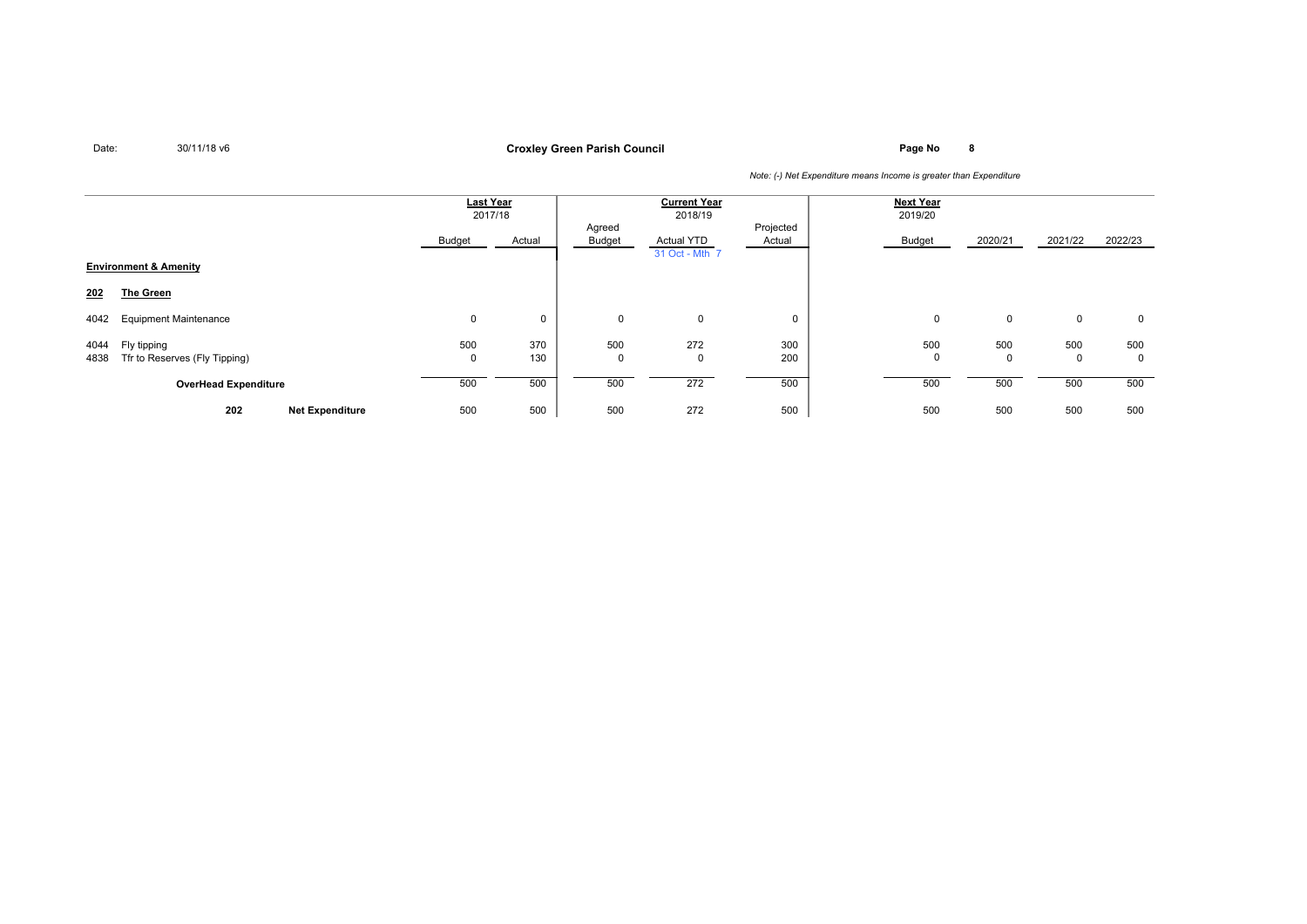**Page No <sup>8</sup> Croxley Green Parish Council**

|                                                              | Last Year<br>2017/18 |            |                     | <b>Current Year</b><br>2018/19      |                     | <b>Next Year</b><br>2019/20 |                    |                    |                     |
|--------------------------------------------------------------|----------------------|------------|---------------------|-------------------------------------|---------------------|-----------------------------|--------------------|--------------------|---------------------|
|                                                              | Budget               | Actual     | Agreed<br>Budget    | <b>Actual YTD</b><br>31 Oct - Mth 7 | Projected<br>Actual | Budget                      | 2020/21            | 2021/22            | 2022/23             |
| <b>Environment &amp; Amenity</b>                             |                      |            |                     |                                     |                     |                             |                    |                    |                     |
| <b>The Green</b><br>202                                      |                      |            |                     |                                     |                     |                             |                    |                    |                     |
| <b>Equipment Maintenance</b><br>4042                         | 0                    | 0          | $\mathbf 0$         | $\mathbf 0$                         | $\mathbf 0$         | $\mathbf 0$                 | 0                  | $\mathbf 0$        | $\mathbf 0$         |
| Fly tipping<br>4044<br>Tfr to Reserves (Fly Tipping)<br>4838 | 500<br>0             | 370<br>130 | 500<br>$\mathbf{0}$ | 272<br>0                            | 300<br>200          | 500<br>$\mathbf{0}$         | 500<br>$\mathbf 0$ | 500<br>$\mathbf 0$ | 500<br>$\mathbf{0}$ |
| <b>OverHead Expenditure</b>                                  | 500                  | 500        | 500                 | 272                                 | 500                 | 500                         | 500                | 500                | 500                 |
| 202<br><b>Net Expenditure</b>                                | 500                  | 500        | 500                 | 272                                 | 500                 | 500                         | 500                | 500                | 500                 |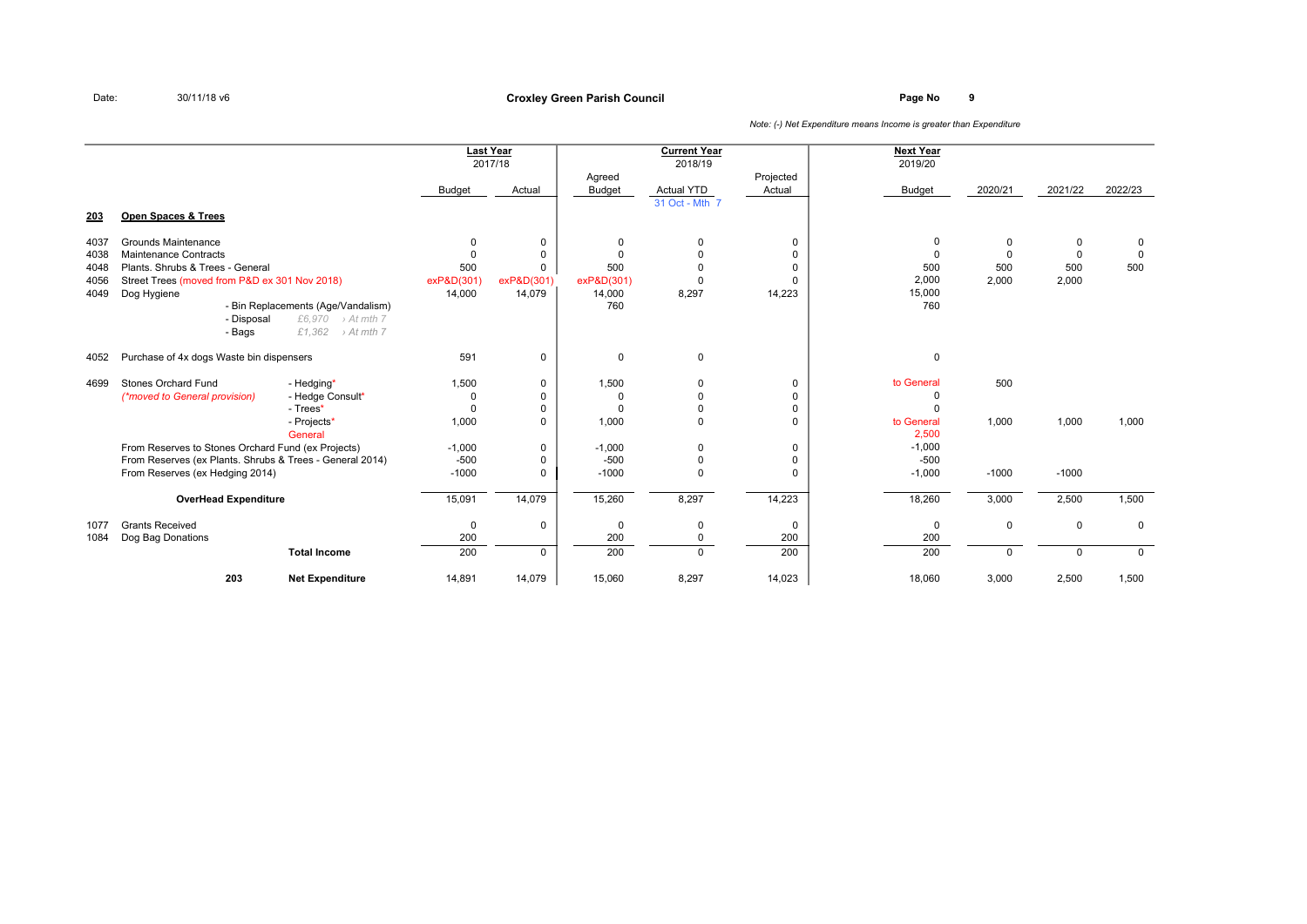|              |                                                                                             |                                                                                                |                         | <b>Last Year</b><br>2017/18 | Agreed            | <b>Current Year</b><br>2018/19 | Projected                  | <b>Next Year</b><br>2019/20     |                      |                      |                            |
|--------------|---------------------------------------------------------------------------------------------|------------------------------------------------------------------------------------------------|-------------------------|-----------------------------|-------------------|--------------------------------|----------------------------|---------------------------------|----------------------|----------------------|----------------------------|
|              |                                                                                             |                                                                                                | Budget                  | Actual                      | Budget            | Actual YTD                     | Actual                     | <b>Budget</b>                   | 2020/21              | 2021/22              | 2022/23                    |
| 203          | <b>Open Spaces &amp; Trees</b>                                                              |                                                                                                |                         |                             |                   | 31 Oct - Mth 7                 |                            |                                 |                      |                      |                            |
| 4037<br>4038 | Grounds Maintenance<br>Maintenance Contracts                                                |                                                                                                | $\mathbf 0$<br>$\Omega$ | $\mathbf 0$<br>$\Omega$     | 0<br>$\Omega$     | $\mathbf 0$<br>$\Omega$        | 0<br>$\Omega$              | 0<br>$\Omega$                   | $\Omega$<br>$\Omega$ | $\Omega$<br>$\Omega$ | $\mathbf 0$<br>$\mathbf 0$ |
| 4048<br>4056 | Plants, Shrubs & Trees - General<br>Street Trees (moved from P&D ex 301 Nov 2018)           |                                                                                                | 500<br>exP&D(301)       | $\Omega$<br>exP&D(301)      | 500<br>exP&D(301) | $\Omega$<br>$\Omega$           | $\Omega$<br>$\Omega$       | 500<br>2,000                    | 500<br>2,000         | 500<br>2,000         | 500                        |
| 4049         | Dog Hygiene                                                                                 |                                                                                                | 14,000                  | 14,079                      | 14,000            | 8,297                          | 14,223                     | 15,000                          |                      |                      |                            |
|              | - Disposal<br>- Bags                                                                        | - Bin Replacements (Age/Vandalism)<br>£6,970<br>$\rightarrow$ At mth 7<br>£1,362<br>> At mth 7 |                         |                             | 760               |                                |                            | 760                             |                      |                      |                            |
| 4052         | Purchase of 4x dogs Waste bin dispensers                                                    |                                                                                                | 591                     | $\mathbf 0$                 | $\mathbf 0$       | $\mathbf 0$                    |                            | $\mathbf 0$                     |                      |                      |                            |
| 4699         | Stones Orchard Fund                                                                         | - Hedging*                                                                                     | 1,500                   | 0                           | 1,500             | $\mathbf 0$                    | 0                          | to General                      | 500                  |                      |                            |
|              | (*moved to General provision)                                                               | - Hedge Consult*                                                                               | 0                       | $\Omega$                    | 0                 | $\Omega$                       | $\Omega$                   | O                               |                      |                      |                            |
|              |                                                                                             | - Trees*<br>- Projects*<br>General                                                             | $\Omega$<br>1,000       | $\mathbf 0$<br>$\Omega$     | $\Omega$<br>1,000 | $\mathbf{0}$<br>$\Omega$       | $\mathbf 0$<br>$\Omega$    | $\Omega$<br>to General<br>2.500 | 1,000                | 1,000                | 1,000                      |
|              | From Reserves to Stones Orchard Fund (ex Projects)                                          |                                                                                                | $-1.000$                | $\mathbf 0$                 | $-1.000$          | 0                              | $\mathbf 0$                | $-1,000$                        |                      |                      |                            |
|              | From Reserves (ex Plants. Shrubs & Trees - General 2014)<br>From Reserves (ex Hedging 2014) |                                                                                                | $-500$<br>$-1000$       | $\mathbf 0$<br>$\mathbf 0$  | $-500$<br>$-1000$ | $\mathbf 0$<br>$\Omega$        | $\mathbf 0$<br>$\mathbf 0$ | $-500$<br>$-1,000$              | $-1000$              | $-1000$              |                            |
|              | <b>OverHead Expenditure</b>                                                                 |                                                                                                | 15,091                  | 14,079                      | 15,260            | 8,297                          | 14,223                     | 18,260                          | 3,000                | 2,500                | 1,500                      |
| 1077<br>1084 | <b>Grants Received</b><br>Dog Bag Donations                                                 |                                                                                                | $\mathbf 0$<br>200      | $\mathbf 0$                 | 0<br>200          | $\mathbf 0$<br>$\mathbf{0}$    | $\mathbf 0$<br>200         | $\mathbf 0$<br>200              | $\mathbf 0$          | $\mathbf 0$          | $\Omega$                   |
|              |                                                                                             | <b>Total Income</b>                                                                            | 200                     | $\Omega$                    | 200               | $\Omega$                       | 200                        | 200                             | $\Omega$             | $\Omega$             | $\Omega$                   |
|              | 203                                                                                         | <b>Net Expenditure</b>                                                                         | 14,891                  | 14,079                      | 15,060            | 8,297                          | 14,023                     | 18,060                          | 3,000                | 2,500                | 1,500                      |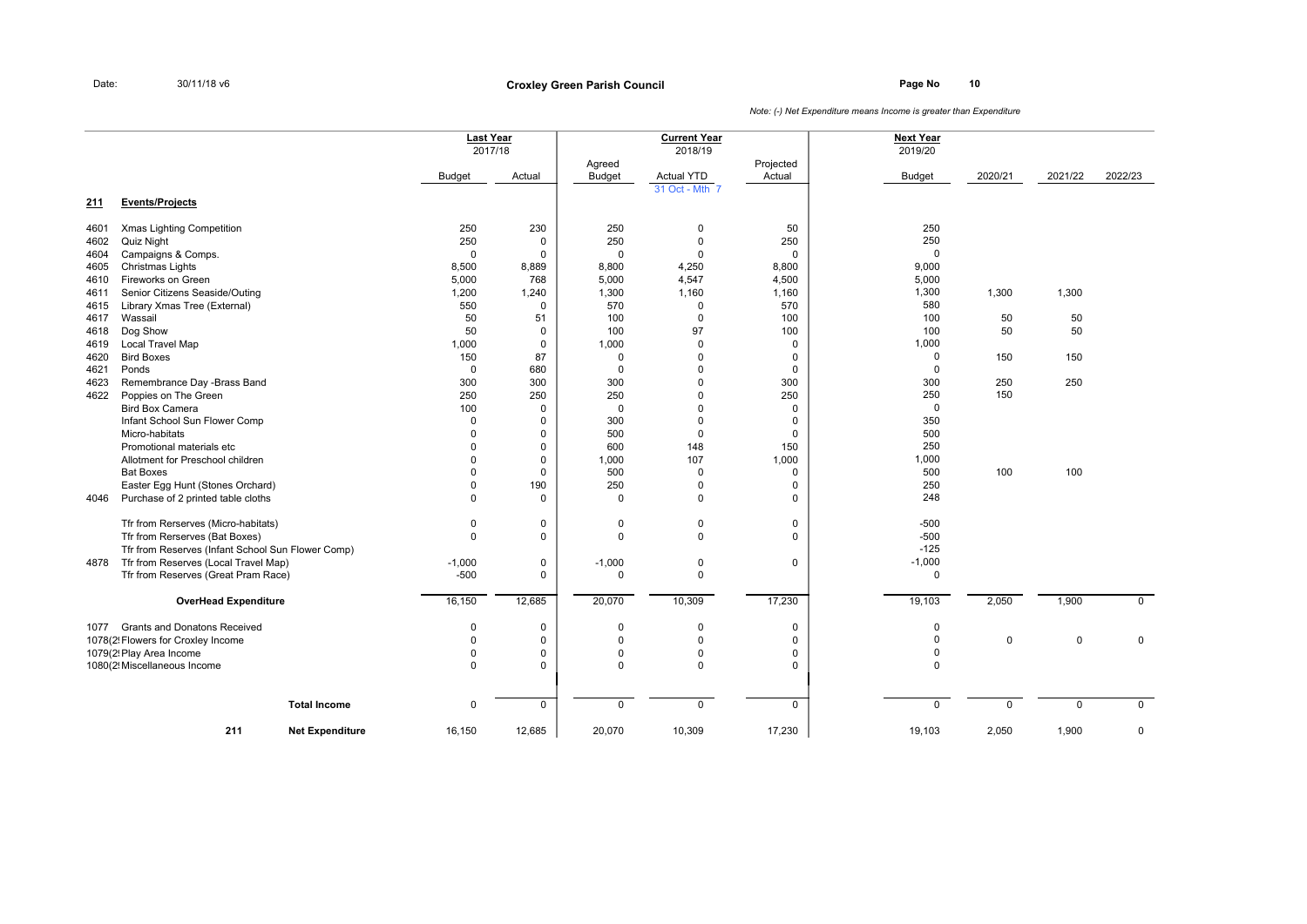**Page No <sup>10</sup> Croxley Green Parish Council**

|            |                                                   | <b>Last Year</b><br>2017/18 |                  |                         | <b>Current Year</b><br>2018/19 |                     | <b>Next Year</b><br>2019/20 |             |             |             |
|------------|---------------------------------------------------|-----------------------------|------------------|-------------------------|--------------------------------|---------------------|-----------------------------|-------------|-------------|-------------|
|            |                                                   | <b>Budget</b>               | Actual           | Agreed<br><b>Budget</b> | <b>Actual YTD</b>              | Projected<br>Actual | <b>Budget</b>               | 2020/21     | 2021/22     | 2022/23     |
| <u>211</u> | <b>Events/Projects</b>                            |                             |                  |                         | 31 Oct - Mth 7                 |                     |                             |             |             |             |
| 4601       | Xmas Lighting Competition                         | 250                         | 230              | 250                     | $\mathbf 0$                    | 50                  | 250                         |             |             |             |
| 4602       | Quiz Night                                        | 250                         | 0                | 250                     | $\mathsf 0$                    | 250                 | 250                         |             |             |             |
| 4604       | Campaigns & Comps.                                | $\Omega$                    | $\mathbf 0$      | $\mathbf 0$             | $\Omega$                       | $\mathbf 0$         | $\mathbf 0$                 |             |             |             |
| 4605       | Christmas Lights                                  | 8,500                       | 8,889            | 8,800                   | 4,250                          | 8,800               | 9,000                       |             |             |             |
| 4610       | Fireworks on Green                                | 5,000                       | 768              | 5,000                   | 4,547                          | 4,500               | 5,000                       |             |             |             |
| 4611       | Senior Citizens Seaside/Outing                    | 1,200                       | 1,240            | 1,300                   | 1,160                          | 1,160               | 1,300                       | 1,300       | 1,300       |             |
| 4615       | Library Xmas Tree (External)                      | 550                         | $\mathbf 0$      | 570                     | $\mathbf 0$                    | 570                 | 580                         |             |             |             |
| 4617       | Wassail                                           | 50                          | 51               | 100                     | $\mathbf 0$                    | 100                 | 100                         | 50          | 50          |             |
| 4618       | Dog Show                                          | 50                          | 0                | 100                     | 97                             | 100                 | 100                         | 50          | 50          |             |
| 4619       | Local Travel Map                                  | 1,000                       | 0                | 1,000                   | $\mathbf 0$                    | 0                   | 1,000                       |             |             |             |
| 4620       | <b>Bird Boxes</b>                                 | 150                         | 87               | $\mathbf 0$             | 0                              | 0                   | $\mathbf 0$                 | 150         | 150         |             |
| 4621       | Ponds                                             | $\mathbf 0$                 | 680              | $\mathbf{0}$            | 0                              | 0                   | $\mathbf 0$                 |             |             |             |
| 4623       | Remembrance Day -Brass Band                       | 300<br>250                  | 300              | 300                     | $\Omega$<br>$\Omega$           | 300                 | 300<br>250                  | 250         | 250         |             |
| 4622       | Poppies on The Green<br><b>Bird Box Camera</b>    | 100                         | 250<br>$\Omega$  | 250<br>$\mathbf 0$      | $\Omega$                       | 250<br>$\mathbf 0$  | $\mathbf 0$                 | 150         |             |             |
|            | Infant School Sun Flower Comp                     | $\Omega$                    |                  | 300                     | $\Omega$                       |                     | 350                         |             |             |             |
|            | Micro-habitats                                    | $\Omega$                    | 0<br>$\mathbf 0$ | 500                     | $\mathbf 0$                    | 0<br>$\mathbf 0$    | 500                         |             |             |             |
|            | Promotional materials etc                         | $\Omega$                    | $\mathbf 0$      | 600                     | 148                            | 150                 | 250                         |             |             |             |
|            | Allotment for Preschool children                  | $\Omega$                    | $\mathbf 0$      | 1,000                   | 107                            | 1,000               | 1,000                       |             |             |             |
|            | <b>Bat Boxes</b>                                  | $\Omega$                    | $\mathbf 0$      | 500                     | $\mathbf 0$                    | $\mathbf 0$         | 500                         | 100         | 100         |             |
|            | Easter Egg Hunt (Stones Orchard)                  | $\Omega$                    | 190              | 250                     | $\mathbf{0}$                   | 0                   | 250                         |             |             |             |
| 4046       | Purchase of 2 printed table cloths                | $\Omega$                    | $\mathbf 0$      | $\mathbf 0$             | $\Omega$                       | $\mathbf 0$         | 248                         |             |             |             |
|            | Tfr from Rerserves (Micro-habitats)               | $\Omega$                    | 0                | $\mathbf 0$             | $\mathbf{0}$                   | 0                   | $-500$                      |             |             |             |
|            | Tfr from Rerserves (Bat Boxes)                    | $\Omega$                    | $\mathbf 0$      | $\mathbf 0$             | $\mathbf 0$                    | 0                   | $-500$                      |             |             |             |
|            | Tfr from Reserves (Infant School Sun Flower Comp) |                             |                  |                         |                                |                     | $-125$                      |             |             |             |
| 4878       | Tfr from Reserves (Local Travel Map)              | $-1,000$                    | 0                | $-1,000$                | 0                              | $\mathbf 0$         | $-1,000$                    |             |             |             |
|            | Tfr from Reserves (Great Pram Race)               | $-500$                      | $\mathbf 0$      | 0                       | $\mathbf 0$                    |                     | $\mathbf 0$                 |             |             |             |
|            | <b>OverHead Expenditure</b>                       | 16,150                      | 12,685           | 20,070                  | 10,309                         | 17,230              | 19,103                      | 2,050       | 1,900       | $\mathbf 0$ |
| 1077       | <b>Grants and Donatons Received</b>               | $\Omega$                    | 0                | $\mathbf{0}$            | 0                              | 0                   | $\mathbf 0$                 |             |             |             |
|            | 1078(2! Flowers for Croxley Income                | $\Omega$                    | $\mathbf 0$      | $\mathbf 0$             | $\mathbf 0$                    | $\mathbf 0$         | $\mathbf 0$                 | 0           | $\mathbf 0$ | $\mathbf 0$ |
|            | 1079(2! Play Area Income                          | $\Omega$                    | 0                | $\mathbf{0}$            | $\mathbf{0}$                   | 0                   | $\mathbf 0$                 |             |             |             |
|            | 1080(2! Miscellaneous Income                      | $\Omega$                    | $\mathbf 0$      | $\Omega$                | $\mathbf{0}$                   | 0                   | $\pmb{0}$                   |             |             |             |
|            | <b>Total Income</b>                               | $\mathbf 0$                 | $\mathbf 0$      | $\mathbf 0$             | $\mathbf 0$                    | $\mathbf 0$         | $\mathbf 0$                 | $\mathbf 0$ | $\mathbf 0$ | $\mathbf 0$ |
|            | 211<br><b>Net Expenditure</b>                     | 16,150                      | 12,685           | 20,070                  | 10,309                         | 17,230              | 19,103                      | 2,050       | 1,900       | 0           |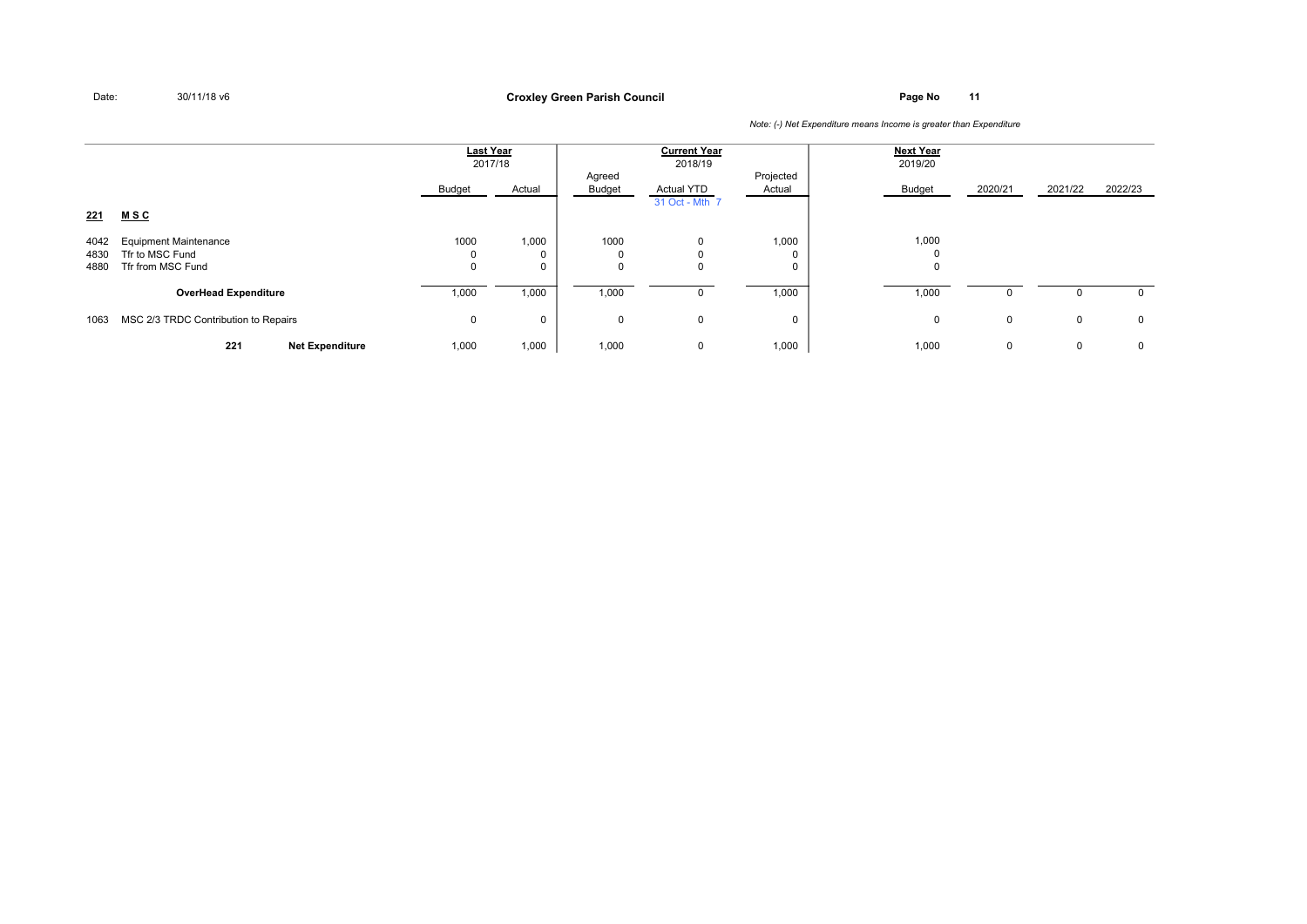**Page No <sup>11</sup> Croxley Green Parish Council**

|                      |                                                                      | <b>Last Year</b><br>2017/18 |                           |                                    | <b>Current Year</b><br>2018/19      |                        | <b>Next Year</b><br>2019/20 |              |              |             |
|----------------------|----------------------------------------------------------------------|-----------------------------|---------------------------|------------------------------------|-------------------------------------|------------------------|-----------------------------|--------------|--------------|-------------|
|                      |                                                                      | Budget                      | Actual                    | Agreed<br>Budget                   | <b>Actual YTD</b><br>31 Oct - Mth 7 | Projected<br>Actual    | Budget                      | 2020/21      | 2021/22      | 2022/23     |
| 221                  | <b>MSC</b>                                                           |                             |                           |                                    |                                     |                        |                             |              |              |             |
| 4042<br>4830<br>4880 | <b>Equipment Maintenance</b><br>Tfr to MSC Fund<br>Tfr from MSC Fund | 1000<br>$\Omega$            | 1,000<br>0<br>$\mathbf 0$ | 1000<br>$\mathbf 0$<br>$\mathbf 0$ | 0<br>0<br>0                         | 1,000<br>$\Omega$<br>0 | 1,000<br>$\mathbf{0}$       |              |              |             |
|                      | <b>OverHead Expenditure</b>                                          | 1,000                       | 1,000                     | 1,000                              | 0                                   | 1,000                  | 1,000                       | $\Omega$     |              | $\mathbf 0$ |
| 1063                 | MSC 2/3 TRDC Contribution to Repairs                                 | 0                           | 0                         | $\mathbf 0$                        | 0                                   | 0                      | 0                           | $\mathbf{0}$ | $\mathbf 0$  | $\mathbf 0$ |
|                      | 221<br><b>Net Expenditure</b>                                        | 1,000                       | 1,000                     | 1,000                              | 0                                   | 1,000                  | 1,000                       | 0            | $\mathbf{0}$ | 0           |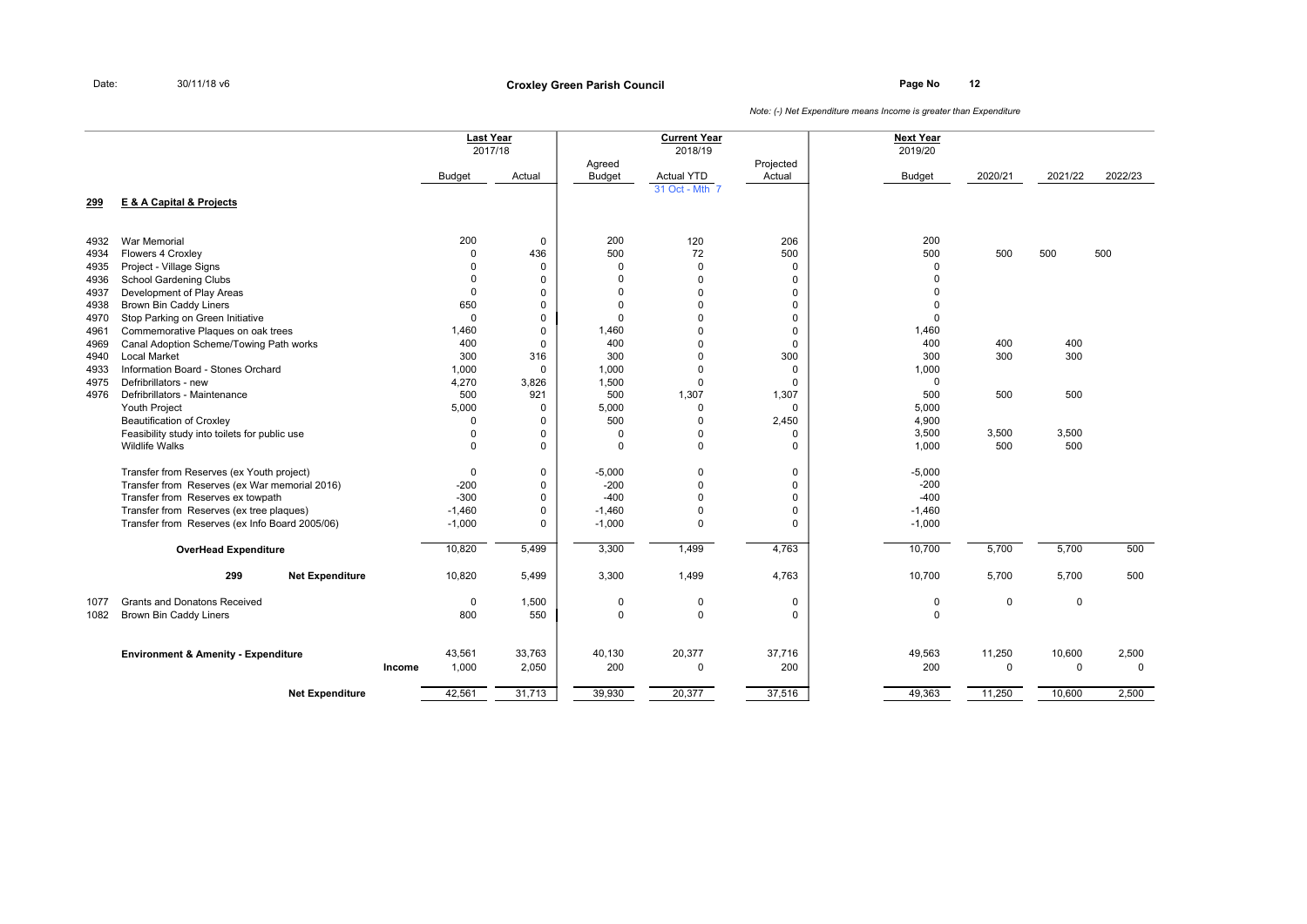**Page No <sup>12</sup> Croxley Green Parish Council**

|      |                                                |        | <b>Last Year</b> | 2017/18     |                         | <b>Current Year</b><br>2018/19 |                     | <b>Next Year</b><br>2019/20 |             |             |          |
|------|------------------------------------------------|--------|------------------|-------------|-------------------------|--------------------------------|---------------------|-----------------------------|-------------|-------------|----------|
|      |                                                |        | <b>Budget</b>    | Actual      | Agreed<br><b>Budget</b> | Actual YTD                     | Projected<br>Actual | <b>Budget</b>               | 2020/21     | 2021/22     | 2022/23  |
| 299  | E & A Capital & Projects                       |        |                  |             |                         | 31 Oct - Mth 7                 |                     |                             |             |             |          |
|      |                                                |        |                  |             |                         |                                |                     |                             |             |             |          |
| 4932 | <b>War Memorial</b>                            |        | 200              | 0           | 200                     | 120                            | 206                 | 200                         |             |             |          |
| 4934 | Flowers 4 Croxley                              |        | $\mathbf 0$      | 436         | 500                     | 72                             | 500                 | 500                         | 500         | 500         | 500      |
| 4935 | Project - Village Signs                        |        | 0                | $\mathbf 0$ | $\mathbf{0}$            | $\mathbf 0$                    | 0                   | $\Omega$                    |             |             |          |
| 4936 | <b>School Gardening Clubs</b>                  |        | $\mathbf 0$      | $\mathbf 0$ | $\Omega$                | $\Omega$                       | $\mathbf 0$         |                             |             |             |          |
| 4937 | Development of Play Areas                      |        | $\Omega$         | $\mathbf 0$ | $\Omega$                | $\Omega$                       | 0                   |                             |             |             |          |
| 4938 | Brown Bin Caddy Liners                         |        | 650              | $\mathbf 0$ | $\Omega$                | 0                              | 0                   |                             |             |             |          |
| 4970 | Stop Parking on Green Initiative               |        | $\mathbf 0$      | $\mathbf 0$ | $\Omega$                | $\Omega$                       | 0                   | $\Omega$                    |             |             |          |
| 4961 | Commemorative Plaques on oak trees             |        | 1,460            | $\mathbf 0$ | 1,460                   | $\Omega$                       | $\mathbf 0$         | 1,460                       |             |             |          |
| 4969 | Canal Adoption Scheme/Towing Path works        |        | 400              | $\mathbf 0$ | 400                     | $\Omega$                       | 0                   | 400                         | 400         | 400         |          |
| 4940 | <b>Local Market</b>                            |        | 300              | 316         | 300                     | $\Omega$                       | 300                 | 300                         | 300         | 300         |          |
| 4933 | Information Board - Stones Orchard             |        | 1,000            | $\mathbf 0$ | 1.000                   | $\Omega$                       | $\mathbf 0$         | 1,000                       |             |             |          |
| 4975 | Defribrillators - new                          |        | 4,270            | 3,826       | 1,500                   | $\mathbf 0$                    | 0                   | $\mathbf 0$                 |             |             |          |
| 4976 | Defribrillators - Maintenance                  |        | 500              | 921         | 500                     | 1,307                          | 1,307               | 500                         | 500         | 500         |          |
|      | <b>Youth Project</b>                           |        | 5,000            | $\mathbf 0$ | 5,000                   | $\Omega$                       | 0                   | 5,000                       |             |             |          |
|      | <b>Beautification of Croxley</b>               |        | $\Omega$         | $\mathbf 0$ | 500                     | $\Omega$                       | 2,450               | 4,900                       |             |             |          |
|      | Feasibility study into toilets for public use  |        | $\mathbf 0$      | $\mathbf 0$ | $\mathbf 0$             | 0                              | $\mathbf 0$         | 3,500                       | 3,500       | 3,500       |          |
|      | <b>Wildlife Walks</b>                          |        | $\Omega$         | $\mathbf 0$ | $\mathbf 0$             | $\mathbf 0$                    | $\mathbf 0$         | 1,000                       | 500         | 500         |          |
|      | Transfer from Reserves (ex Youth project)      |        | $\mathbf 0$      | $\mathbf 0$ | $-5,000$                | 0                              | $\mathbf 0$         | $-5,000$                    |             |             |          |
|      | Transfer from Reserves (ex War memorial 2016)  |        | $-200$           | $\pmb{0}$   | $-200$                  | $\Omega$                       | $\mathbf 0$         | $-200$                      |             |             |          |
|      | Transfer from Reserves ex towpath              |        | $-300$           | $\mathbf 0$ | $-400$                  | $\mathbf 0$                    | $\mathbf 0$         | $-400$                      |             |             |          |
|      | Transfer from Reserves (ex tree plaques)       |        | $-1,460$         | $\mathbf 0$ | $-1,460$                | $\Omega$                       | 0                   | $-1,460$                    |             |             |          |
|      | Transfer from Reserves (ex Info Board 2005/06) |        | $-1,000$         | $\mathbf 0$ | $-1,000$                | $\mathbf 0$                    | $\mathbf 0$         | $-1,000$                    |             |             |          |
|      | <b>OverHead Expenditure</b>                    |        | 10,820           | 5,499       | 3,300                   | 1,499                          | 4,763               | 10,700                      | 5,700       | 5,700       | 500      |
|      | 299<br><b>Net Expenditure</b>                  |        | 10,820           | 5,499       | 3,300                   | 1,499                          | 4,763               | 10,700                      | 5,700       | 5,700       | 500      |
| 1077 | <b>Grants and Donatons Received</b>            |        | $\mathbf 0$      | 1,500       | $\mathbf 0$             | 0                              | 0                   | $\mathbf 0$                 | $\mathbf 0$ | $\mathbf 0$ |          |
| 1082 | <b>Brown Bin Caddy Liners</b>                  |        | 800              | 550         | $\Omega$                | $\Omega$                       | $\Omega$            | $\Omega$                    |             |             |          |
|      |                                                |        |                  |             |                         |                                | 37,716              |                             |             |             |          |
|      | <b>Environment &amp; Amenity - Expenditure</b> |        | 43,561           | 33,763      | 40,130                  | 20,377                         |                     | 49,563                      | 11,250      | 10,600      | 2,500    |
|      |                                                | Income | 1,000            | 2,050       | 200                     | $\mathbf 0$                    | 200                 | 200                         | $\mathbf 0$ | $\Omega$    | $\Omega$ |
|      | <b>Net Expenditure</b>                         |        | 42,561           | 31,713      | 39,930                  | 20,377                         | 37,516              | 49,363                      | 11,250      | 10,600      | 2,500    |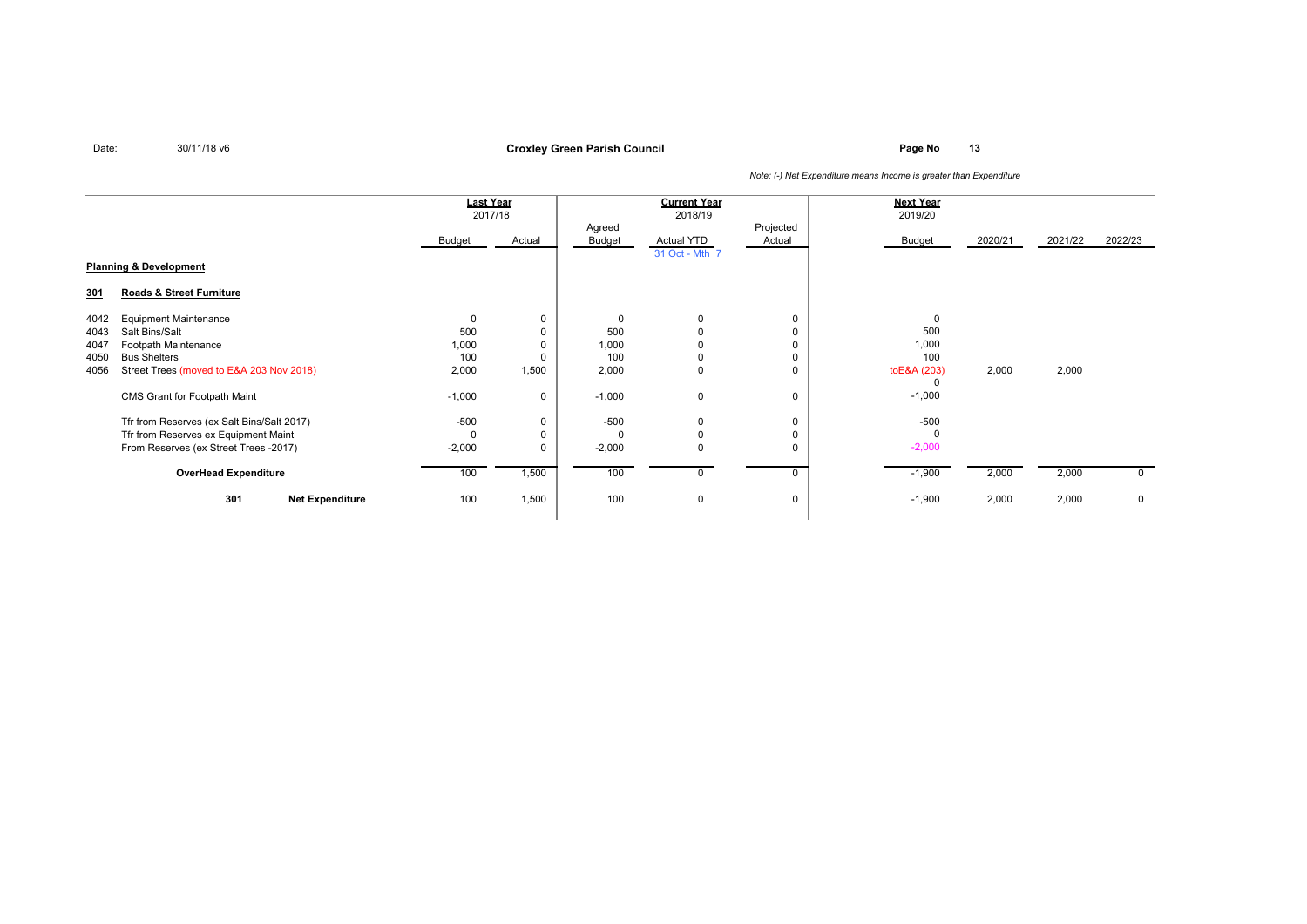**Page No <sup>13</sup> Croxley Green Parish Council**

|      |                                            | Last Year     |             |          | <b>Current Year</b> |             | <b>Next Year</b> |         |         |              |
|------|--------------------------------------------|---------------|-------------|----------|---------------------|-------------|------------------|---------|---------|--------------|
|      |                                            | 2017/18       |             |          | 2018/19             |             | 2019/20          |         |         |              |
|      |                                            |               |             | Agreed   |                     | Projected   |                  |         |         |              |
|      |                                            | <b>Budget</b> | Actual      | Budget   | Actual YTD          | Actual      | <b>Budget</b>    | 2020/21 | 2021/22 | 2022/23      |
|      |                                            |               |             |          | 31 Oct - Mth 7      |             |                  |         |         |              |
|      | <b>Planning &amp; Development</b>          |               |             |          |                     |             |                  |         |         |              |
| 301  | Roads & Street Furniture                   |               |             |          |                     |             |                  |         |         |              |
| 4042 | <b>Equipment Maintenance</b>               |               | $\mathbf 0$ |          | 0                   | 0           | $\Omega$         |         |         |              |
| 4043 | Salt Bins/Salt                             | 500           | $\Omega$    | 500      | $\Omega$            | $\mathbf 0$ | 500              |         |         |              |
| 4047 | Footpath Maintenance                       | 1,000         |             | 1,000    |                     | $\mathbf 0$ | 1,000            |         |         |              |
| 4050 | <b>Bus Shelters</b>                        | 100           |             | 100      | $\Omega$            | $\Omega$    | 100              |         |         |              |
| 4056 | Street Trees (moved to E&A 203 Nov 2018)   | 2,000         | 1,500       | 2,000    | 0                   | 0           | toE&A (203)      | 2,000   | 2,000   |              |
|      |                                            |               |             |          |                     |             | $\Omega$         |         |         |              |
|      | CMS Grant for Footpath Maint               | $-1,000$      | 0           | $-1,000$ | $\mathbf 0$         | $\mathbf 0$ | $-1,000$         |         |         |              |
|      | Tfr from Reserves (ex Salt Bins/Salt 2017) | $-500$        | $\mathbf 0$ | $-500$   | 0                   | $\mathbf 0$ | $-500$           |         |         |              |
|      | Tfr from Reserves ex Equipment Maint       |               | $\Omega$    |          | $\Omega$            | $\Omega$    | $\Omega$         |         |         |              |
|      | From Reserves (ex Street Trees -2017)      | $-2,000$      | $\mathbf 0$ | $-2,000$ | $\Omega$            | $\Omega$    | $-2,000$         |         |         |              |
|      |                                            |               |             |          |                     |             |                  |         |         |              |
|      | <b>OverHead Expenditure</b>                | 100           | 1,500       | 100      | 0                   | $\mathbf 0$ | $-1,900$         | 2,000   | 2,000   | $\mathbf{0}$ |
|      | 301<br><b>Net Expenditure</b>              | 100           | 1,500       | 100      | 0                   | 0           | $-1,900$         | 2,000   | 2,000   | 0            |
|      |                                            |               |             |          |                     |             |                  |         |         |              |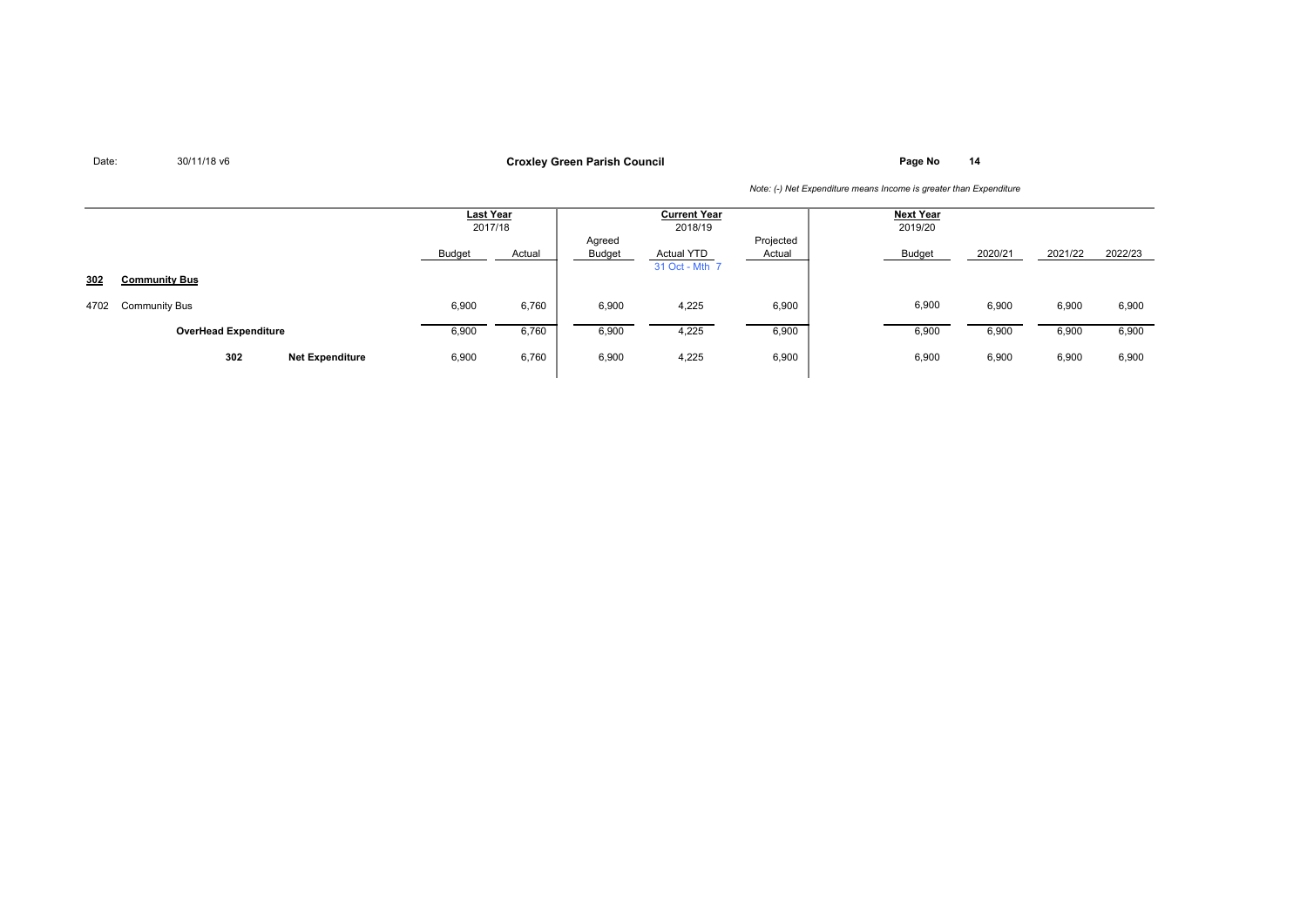**Page No <sup>14</sup> Croxley Green Parish Council**

|      |                               | Last Year<br>2017/18 |        | <b>Current Year</b><br>2018/19 |                                     |                     | Next Year<br>2019/20 |         |         |         |
|------|-------------------------------|----------------------|--------|--------------------------------|-------------------------------------|---------------------|----------------------|---------|---------|---------|
|      |                               | <b>Budget</b>        | Actual | Agreed<br><b>Budget</b>        | <b>Actual YTD</b><br>31 Oct - Mth 7 | Projected<br>Actual | Budget               | 2020/21 | 2021/22 | 2022/23 |
| 302  | <b>Community Bus</b>          |                      |        |                                |                                     |                     |                      |         |         |         |
| 4702 | <b>Community Bus</b>          | 6,900                | 6,760  | 6,900                          | 4,225                               | 6,900               | 6,900                | 6,900   | 6,900   | 6,900   |
|      | <b>OverHead Expenditure</b>   | 6,900                | 6,760  | 6,900                          | 4,225                               | 6,900               | 6,900                | 6,900   | 6,900   | 6,900   |
|      | 302<br><b>Net Expenditure</b> | 6,900                | 6,760  | 6,900                          | 4,225                               | 6,900               | 6,900                | 6,900   | 6,900   | 6,900   |